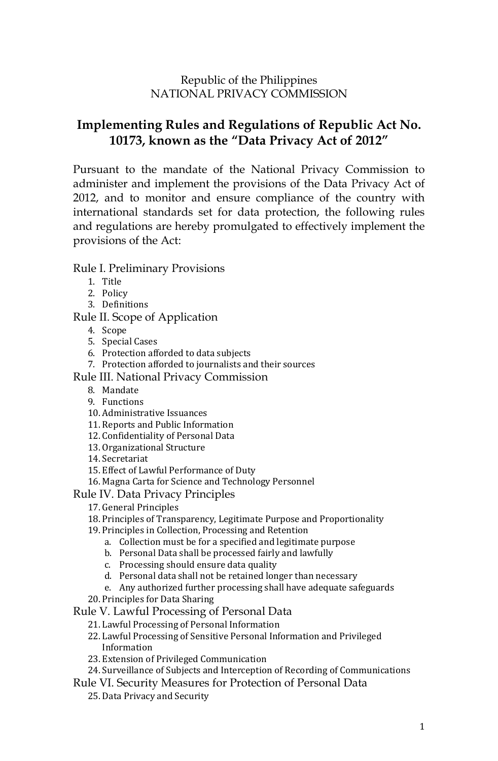### Republic of the Philippines NATIONAL PRIVACY COMMISSION

# **Implementing Rules and Regulations of Republic Act No. 10173, known as the "Data Privacy Act of 2012"**

Pursuant to the mandate of the National Privacy Commission to administer and implement the provisions of the Data Privacy Act of 2012, and to monitor and ensure compliance of the country with international standards set for data protection, the following rules and regulations are hereby promulgated to effectively implement the provisions of the Act:

#### Rule I. Preliminary Provisions

- 1. Title
- 2. Policy
- 3. Definitions
- Rule II. Scope of Application
	- 4. Scope
	- 5. Special Cases
	- 6. Protection afforded to data subjects
	- 7. Protection afforded to journalists and their sources
- Rule III. National Privacy Commission
	- 8. Mandate
	- 9. Functions
	- 10. Administrative Issuances
	- 11. Reports and Public Information
	- 12. Confidentiality of Personal Data
	- 13. Organizational Structure
	- 14. Secretariat
	- 15. Effect of Lawful Performance of Duty
	- 16. Magna Carta for Science and Technology Personnel
- Rule IV. Data Privacy Principles
	- 17. General Principles
	- 18. Principles of Transparency, Legitimate Purpose and Proportionality
	- 19. Principles in Collection, Processing and Retention
		- a. Collection must be for a specified and legitimate purpose
		- b. Personal Data shall be processed fairly and lawfully
		- c. Processing should ensure data quality
		- d. Personal data shall not be retained longer than necessary
		- e. Any authorized further processing shall have adequate safeguards
	- 20. Principles for Data Sharing
- Rule V. Lawful Processing of Personal Data
	- 21. Lawful Processing of Personal Information
	- 22. Lawful Processing of Sensitive Personal Information and Privileged Information
	- 23. Extension of Privileged Communication
	- 24. Surveillance of Subjects and Interception of Recording of Communications
- Rule VI. Security Measures for Protection of Personal Data
	- 25. Data Privacy and Security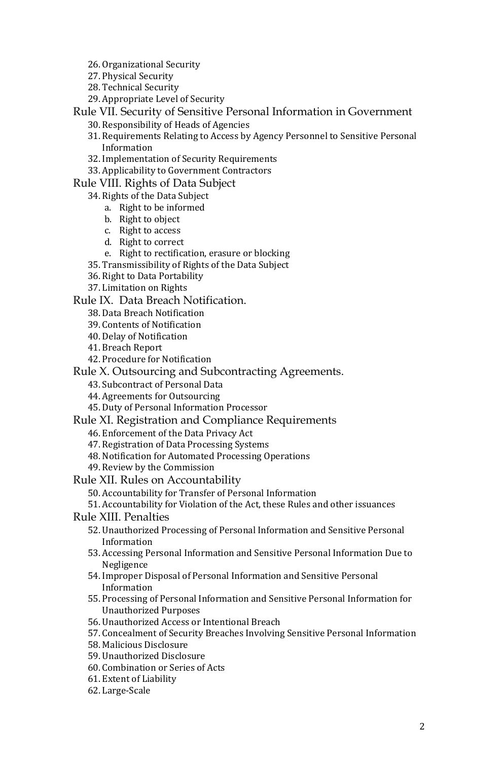- 26. Organizational Security
- 27. Physical Security
- 28. Technical Security
- 29. Appropriate Level of Security

Rule VII. Security of Sensitive Personal Information in Government

- 30. Responsibility of Heads of Agencies
- 31. Requirements Relating to Access by Agency Personnel to Sensitive Personal Information
- 32. Implementation of Security Requirements
- 33. Applicability to Government Contractors

Rule VIII. Rights of Data Subject

- 34. Rights of the Data Subject
	- a. Right to be informed
	- b. Right to object
	- c. Right to access
	- d. Right to correct
	- e. Right to rectification, erasure or blocking
- 35. Transmissibility of Rights of the Data Subject
- 36. Right to Data Portability
- 37. Limitation on Rights

Rule IX. Data Breach Notification.

- 38. Data Breach Notification
- 39. Contents of Notification
- 40. Delay of Notification
- 41. Breach Report
- 42. Procedure for Notification
- Rule X. Outsourcing and Subcontracting Agreements.
	- 43. Subcontract of Personal Data
	- 44. Agreements for Outsourcing
	- 45. Duty of Personal Information Processor
- Rule XI. Registration and Compliance Requirements
	- 46. Enforcement of the Data Privacy Act
	- 47. Registration of Data Processing Systems
	- 48. Notification for Automated Processing Operations
	- 49. Review by the Commission
- Rule XII. Rules on Accountability
	- 50. Accountability for Transfer of Personal Information

51. Accountability for Violation of the Act, these Rules and other issuances

- Rule XIII. Penalties
	- 52. Unauthorized Processing of Personal Information and Sensitive Personal Information
	- 53. Accessing Personal Information and Sensitive Personal Information Due to Negligence
	- 54. Improper Disposal of Personal Information and Sensitive Personal Information
	- 55. Processing of Personal Information and Sensitive Personal Information for Unauthorized Purposes
	- 56. Unauthorized Access or Intentional Breach
	- 57. Concealment of Security Breaches Involving Sensitive Personal Information
	- 58. Malicious Disclosure
	- 59. Unauthorized Disclosure
	- 60. Combination or Series of Acts
	- 61. Extent of Liability
	- 62. Large-Scale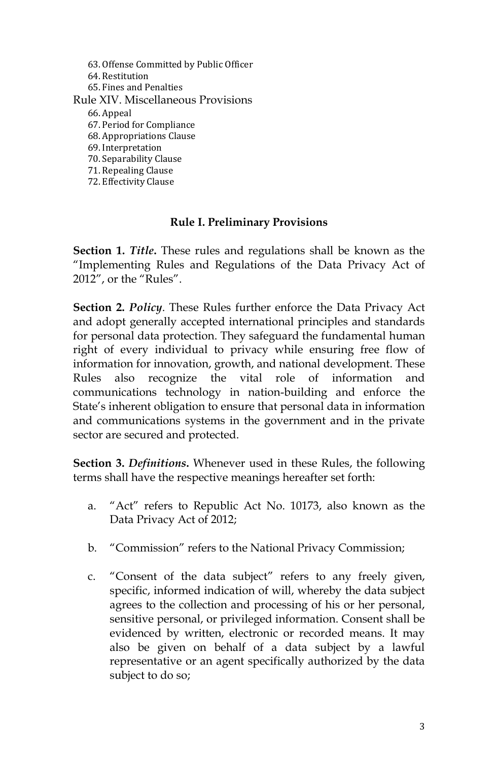63. Offense Committed by Public Officer 64. Restitution 65. Fines and Penalties Rule XIV. Miscellaneous Provisions 66. Appeal 67. Period for Compliance 68. Appropriations Clause 69. Interpretation 70. Separability Clause 71. Repealing Clause 72. Effectivity Clause

### **Rule I. Preliminary Provisions**

**Section 1.** *Title***.** These rules and regulations shall be known as the "Implementing Rules and Regulations of the Data Privacy Act of 2012", or the "Rules".

**Section 2.** *Policy*. These Rules further enforce the Data Privacy Act and adopt generally accepted international principles and standards for personal data protection. They safeguard the fundamental human right of every individual to privacy while ensuring free flow of information for innovation, growth, and national development. These Rules also recognize the vital role of information and communications technology in nation-building and enforce the State's inherent obligation to ensure that personal data in information and communications systems in the government and in the private sector are secured and protected.

**Section 3.** *Definitions***.** Whenever used in these Rules, the following terms shall have the respective meanings hereafter set forth:

- a. "Act" refers to Republic Act No. 10173, also known as the Data Privacy Act of 2012;
- b. "Commission" refers to the National Privacy Commission;
- c. "Consent of the data subject" refers to any freely given, specific, informed indication of will, whereby the data subject agrees to the collection and processing of his or her personal, sensitive personal, or privileged information. Consent shall be evidenced by written, electronic or recorded means. It may also be given on behalf of a data subject by a lawful representative or an agent specifically authorized by the data subject to do so;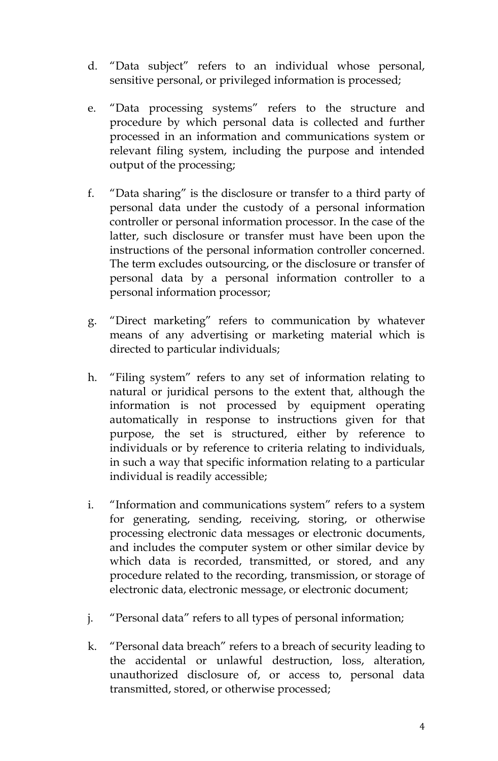- d. "Data subject" refers to an individual whose personal, sensitive personal, or privileged information is processed;
- e. "Data processing systems" refers to the structure and procedure by which personal data is collected and further processed in an information and communications system or relevant filing system, including the purpose and intended output of the processing;
- f. "Data sharing" is the disclosure or transfer to a third party of personal data under the custody of a personal information controller or personal information processor. In the case of the latter, such disclosure or transfer must have been upon the instructions of the personal information controller concerned. The term excludes outsourcing, or the disclosure or transfer of personal data by a personal information controller to a personal information processor;
- g. "Direct marketing" refers to communication by whatever means of any advertising or marketing material which is directed to particular individuals;
- h. "Filing system" refers to any set of information relating to natural or juridical persons to the extent that, although the information is not processed by equipment operating automatically in response to instructions given for that purpose, the set is structured, either by reference to individuals or by reference to criteria relating to individuals, in such a way that specific information relating to a particular individual is readily accessible;
- i. "Information and communications system" refers to a system for generating, sending, receiving, storing, or otherwise processing electronic data messages or electronic documents, and includes the computer system or other similar device by which data is recorded, transmitted, or stored, and any procedure related to the recording, transmission, or storage of electronic data, electronic message, or electronic document;
- j. "Personal data" refers to all types of personal information;
- k. "Personal data breach" refers to a breach of security leading to the accidental or unlawful destruction, loss, alteration, unauthorized disclosure of, or access to, personal data transmitted, stored, or otherwise processed;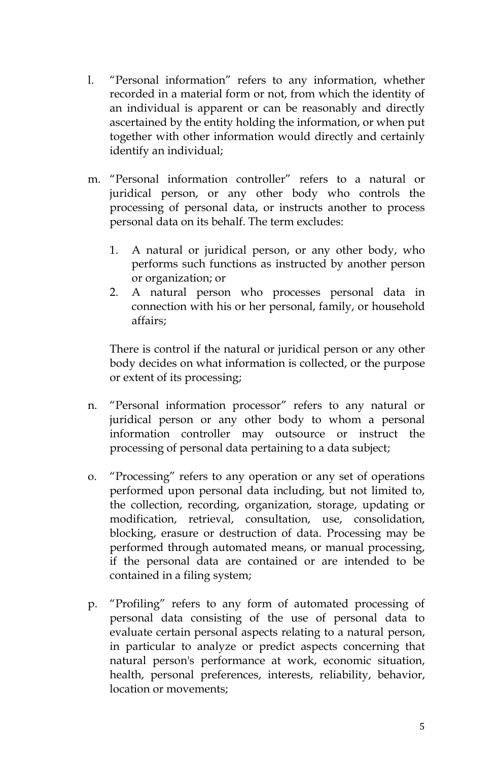- l. "Personal information" refers to any information, whether recorded in a material form or not, from which the identity of an individual is apparent or can be reasonably and directly ascertained by the entity holding the information, or when put together with other information would directly and certainly identify an individual;
- m. "Personal information controller" refers to a natural or juridical person, or any other body who controls the processing of personal data, or instructs another to process personal data on its behalf. The term excludes:
	- 1. A natural or juridical person, or any other body, who performs such functions as instructed by another person or organization; or
	- 2. A natural person who processes personal data in connection with his or her personal, family, or household affairs;

There is control if the natural or juridical person or any other body decides on what information is collected, or the purpose or extent of its processing;

- n. "Personal information processor" refers to any natural or juridical person or any other body to whom a personal information controller may outsource or instruct the processing of personal data pertaining to a data subject;
- o. "Processing" refers to any operation or any set of operations performed upon personal data including, but not limited to, the collection, recording, organization, storage, updating or modification, retrieval, consultation, use, consolidation, blocking, erasure or destruction of data. Processing may be performed through automated means, or manual processing, if the personal data are contained or are intended to be contained in a filing system;
- p. "Profiling" refers to any form of automated processing of personal data consisting of the use of personal data to evaluate certain personal aspects relating to a natural person, in particular to analyze or predict aspects concerning that natural person's performance at work, economic situation, health, personal preferences, interests, reliability, behavior, location or movements;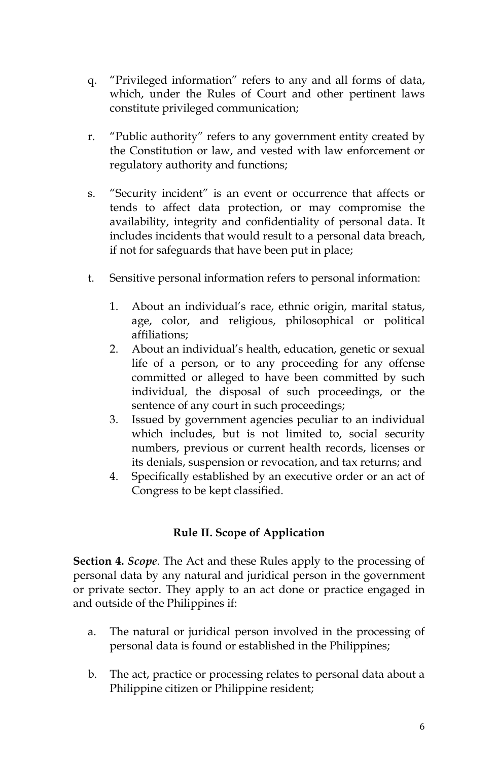- q. "Privileged information" refers to any and all forms of data, which, under the Rules of Court and other pertinent laws constitute privileged communication;
- r. "Public authority" refers to any government entity created by the Constitution or law, and vested with law enforcement or regulatory authority and functions;
- s. "Security incident" is an event or occurrence that affects or tends to affect data protection, or may compromise the availability, integrity and confidentiality of personal data. It includes incidents that would result to a personal data breach, if not for safeguards that have been put in place;
- t. Sensitive personal information refers to personal information:
	- 1. About an individual's race, ethnic origin, marital status, age, color, and religious, philosophical or political affiliations;
	- 2. About an individual's health, education, genetic or sexual life of a person, or to any proceeding for any offense committed or alleged to have been committed by such individual, the disposal of such proceedings, or the sentence of any court in such proceedings;
	- 3. Issued by government agencies peculiar to an individual which includes, but is not limited to, social security numbers, previous or current health records, licenses or its denials, suspension or revocation, and tax returns; and
	- 4. Specifically established by an executive order or an act of Congress to be kept classified.

### **Rule II. Scope of Application**

**Section 4.** *Scope*. The Act and these Rules apply to the processing of personal data by any natural and juridical person in the government or private sector. They apply to an act done or practice engaged in and outside of the Philippines if:

- a. The natural or juridical person involved in the processing of personal data is found or established in the Philippines;
- b. The act, practice or processing relates to personal data about a Philippine citizen or Philippine resident;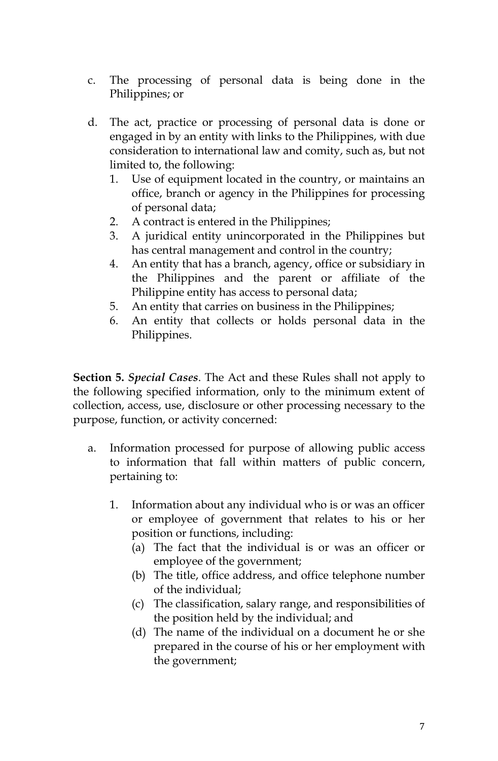- c. The processing of personal data is being done in the Philippines; or
- d. The act, practice or processing of personal data is done or engaged in by an entity with links to the Philippines, with due consideration to international law and comity, such as, but not limited to, the following:
	- 1. Use of equipment located in the country, or maintains an office, branch or agency in the Philippines for processing of personal data;
	- 2. A contract is entered in the Philippines;
	- 3. A juridical entity unincorporated in the Philippines but has central management and control in the country;
	- 4. An entity that has a branch, agency, office or subsidiary in the Philippines and the parent or affiliate of the Philippine entity has access to personal data;
	- 5. An entity that carries on business in the Philippines;
	- 6. An entity that collects or holds personal data in the Philippines.

**Section 5.** *Special Cases*. The Act and these Rules shall not apply to the following specified information, only to the minimum extent of collection, access, use, disclosure or other processing necessary to the purpose, function, or activity concerned:

- a. Information processed for purpose of allowing public access to information that fall within matters of public concern, pertaining to:
	- 1. Information about any individual who is or was an officer or employee of government that relates to his or her position or functions, including:
		- (a) The fact that the individual is or was an officer or employee of the government;
		- (b) The title, office address, and office telephone number of the individual;
		- (c) The classification, salary range, and responsibilities of the position held by the individual; and
		- (d) The name of the individual on a document he or she prepared in the course of his or her employment with the government;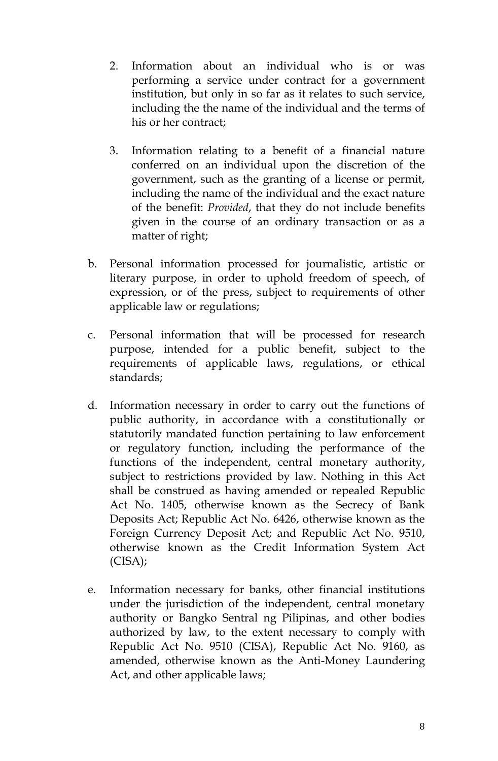- 2. Information about an individual who is or was performing a service under contract for a government institution, but only in so far as it relates to such service, including the the name of the individual and the terms of his or her contract;
- 3. Information relating to a benefit of a financial nature conferred on an individual upon the discretion of the government, such as the granting of a license or permit, including the name of the individual and the exact nature of the benefit: *Provided*, that they do not include benefits given in the course of an ordinary transaction or as a matter of right;
- b. Personal information processed for journalistic, artistic or literary purpose, in order to uphold freedom of speech, of expression, or of the press, subject to requirements of other applicable law or regulations;
- c. Personal information that will be processed for research purpose, intended for a public benefit, subject to the requirements of applicable laws, regulations, or ethical standards;
- d. Information necessary in order to carry out the functions of public authority, in accordance with a constitutionally or statutorily mandated function pertaining to law enforcement or regulatory function, including the performance of the functions of the independent, central monetary authority, subject to restrictions provided by law. Nothing in this Act shall be construed as having amended or repealed Republic Act No. 1405, otherwise known as the Secrecy of Bank Deposits Act; Republic Act No. 6426, otherwise known as the Foreign Currency Deposit Act; and Republic Act No. 9510, otherwise known as the Credit Information System Act (CISA);
- e. Information necessary for banks, other financial institutions under the jurisdiction of the independent, central monetary authority or Bangko Sentral ng Pilipinas, and other bodies authorized by law, to the extent necessary to comply with Republic Act No. 9510 (CISA), Republic Act No. 9160, as amended, otherwise known as the Anti-Money Laundering Act, and other applicable laws;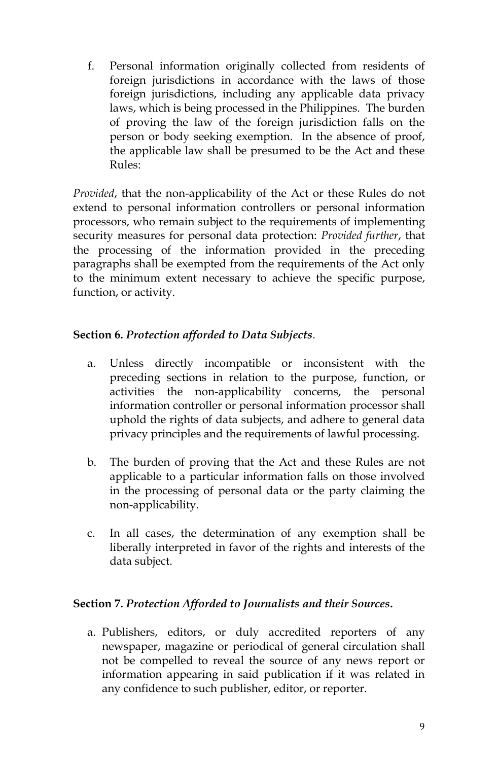f. Personal information originally collected from residents of foreign jurisdictions in accordance with the laws of those foreign jurisdictions, including any applicable data privacy laws, which is being processed in the Philippines. The burden of proving the law of the foreign jurisdiction falls on the person or body seeking exemption. In the absence of proof, the applicable law shall be presumed to be the Act and these Rules:

*Provided*, that the non-applicability of the Act or these Rules do not extend to personal information controllers or personal information processors, who remain subject to the requirements of implementing security measures for personal data protection: *Provided further*, that the processing of the information provided in the preceding paragraphs shall be exempted from the requirements of the Act only to the minimum extent necessary to achieve the specific purpose, function, or activity.

# **Section 6.** *Protection afforded to Data Subjects*.

- a. Unless directly incompatible or inconsistent with the preceding sections in relation to the purpose, function, or activities the non-applicability concerns, the personal information controller or personal information processor shall uphold the rights of data subjects, and adhere to general data privacy principles and the requirements of lawful processing.
- b. The burden of proving that the Act and these Rules are not applicable to a particular information falls on those involved in the processing of personal data or the party claiming the non-applicability.
- c. In all cases, the determination of any exemption shall be liberally interpreted in favor of the rights and interests of the data subject.

### **Section 7.** *Protection Afforded to Journalists and their Sources***.**

a. Publishers, editors, or duly accredited reporters of any newspaper, magazine or periodical of general circulation shall not be compelled to reveal the source of any news report or information appearing in said publication if it was related in any confidence to such publisher, editor, or reporter.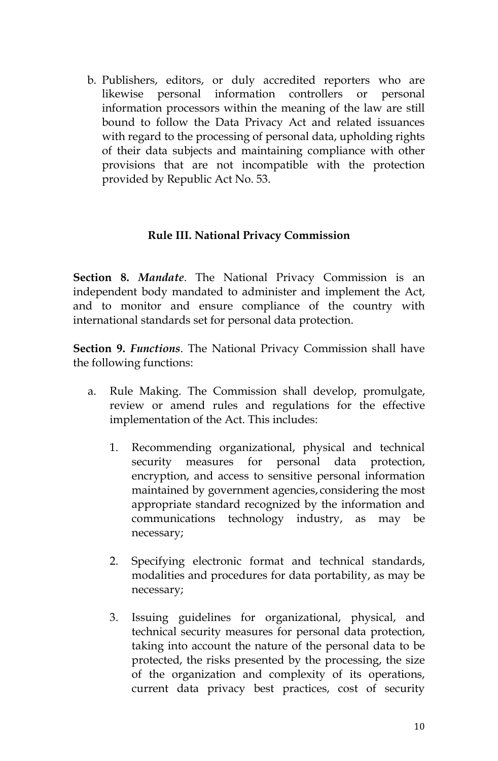b. Publishers, editors, or duly accredited reporters who are likewise personal information controllers or personal information processors within the meaning of the law are still bound to follow the Data Privacy Act and related issuances with regard to the processing of personal data, upholding rights of their data subjects and maintaining compliance with other provisions that are not incompatible with the protection provided by Republic Act No. 53.

#### **Rule III. National Privacy Commission**

**Section 8.** *Mandate*. The National Privacy Commission is an independent body mandated to administer and implement the Act, and to monitor and ensure compliance of the country with international standards set for personal data protection.

**Section 9.** *Functions*. The National Privacy Commission shall have the following functions:

- a. Rule Making. The Commission shall develop, promulgate, review or amend rules and regulations for the effective implementation of the Act. This includes:
	- 1. Recommending organizational, physical and technical security measures for personal data protection, encryption, and access to sensitive personal information maintained by government agencies, considering the most appropriate standard recognized by the information and communications technology industry, as may be necessary;
	- 2. Specifying electronic format and technical standards, modalities and procedures for data portability, as may be necessary;
	- 3. Issuing guidelines for organizational, physical, and technical security measures for personal data protection, taking into account the nature of the personal data to be protected, the risks presented by the processing, the size of the organization and complexity of its operations, current data privacy best practices, cost of security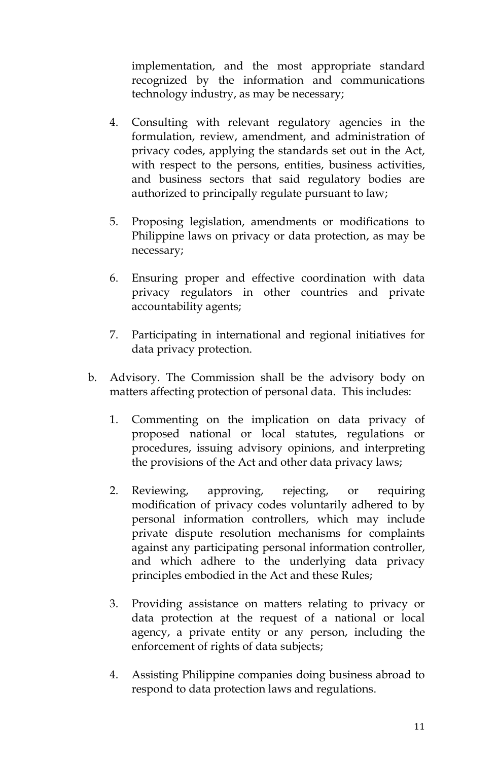implementation, and the most appropriate standard recognized by the information and communications technology industry, as may be necessary;

- 4. Consulting with relevant regulatory agencies in the formulation, review, amendment, and administration of privacy codes, applying the standards set out in the Act, with respect to the persons, entities, business activities, and business sectors that said regulatory bodies are authorized to principally regulate pursuant to law;
- 5. Proposing legislation, amendments or modifications to Philippine laws on privacy or data protection, as may be necessary;
- 6. Ensuring proper and effective coordination with data privacy regulators in other countries and private accountability agents;
- 7. Participating in international and regional initiatives for data privacy protection.
- b. Advisory. The Commission shall be the advisory body on matters affecting protection of personal data. This includes:
	- 1. Commenting on the implication on data privacy of proposed national or local statutes, regulations or procedures, issuing advisory opinions, and interpreting the provisions of the Act and other data privacy laws;
	- 2. Reviewing, approving, rejecting, or requiring modification of privacy codes voluntarily adhered to by personal information controllers, which may include private dispute resolution mechanisms for complaints against any participating personal information controller, and which adhere to the underlying data privacy principles embodied in the Act and these Rules;
	- 3. Providing assistance on matters relating to privacy or data protection at the request of a national or local agency, a private entity or any person, including the enforcement of rights of data subjects;
	- 4. Assisting Philippine companies doing business abroad to respond to data protection laws and regulations.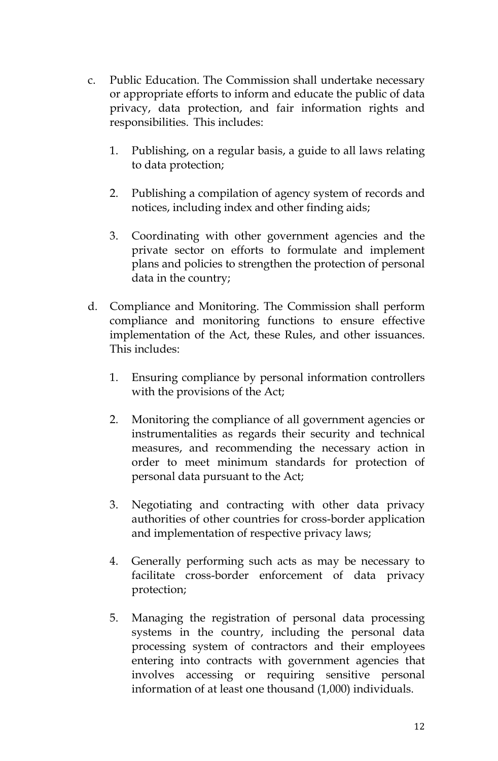- c. Public Education. The Commission shall undertake necessary or appropriate efforts to inform and educate the public of data privacy, data protection, and fair information rights and responsibilities. This includes:
	- 1. Publishing, on a regular basis, a guide to all laws relating to data protection;
	- 2. Publishing a compilation of agency system of records and notices, including index and other finding aids;
	- 3. Coordinating with other government agencies and the private sector on efforts to formulate and implement plans and policies to strengthen the protection of personal data in the country;
- d. Compliance and Monitoring. The Commission shall perform compliance and monitoring functions to ensure effective implementation of the Act, these Rules, and other issuances. This includes:
	- 1. Ensuring compliance by personal information controllers with the provisions of the Act;
	- 2. Monitoring the compliance of all government agencies or instrumentalities as regards their security and technical measures, and recommending the necessary action in order to meet minimum standards for protection of personal data pursuant to the Act;
	- 3. Negotiating and contracting with other data privacy authorities of other countries for cross-border application and implementation of respective privacy laws;
	- 4. Generally performing such acts as may be necessary to facilitate cross-border enforcement of data privacy protection;
	- 5. Managing the registration of personal data processing systems in the country, including the personal data processing system of contractors and their employees entering into contracts with government agencies that involves accessing or requiring sensitive personal information of at least one thousand (1,000) individuals.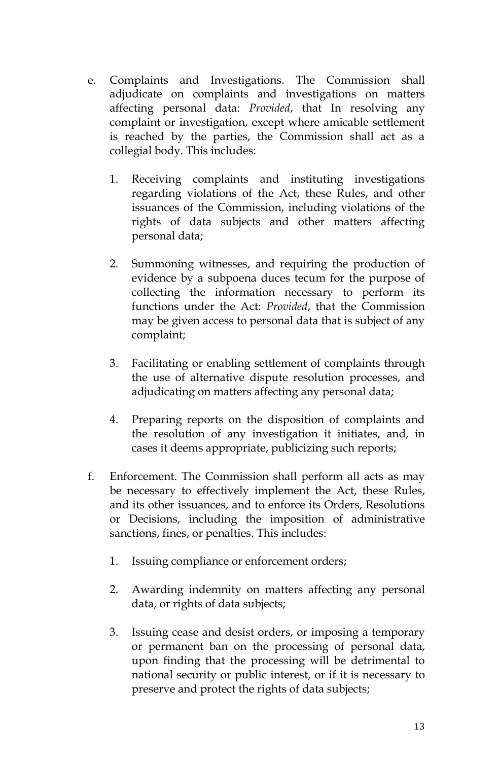- e. Complaints and Investigations. The Commission shall adjudicate on complaints and investigations on matters affecting personal data: *Provided*, that In resolving any complaint or investigation, except where amicable settlement is reached by the parties, the Commission shall act as a collegial body. This includes:
	- 1. Receiving complaints and instituting investigations regarding violations of the Act, these Rules, and other issuances of the Commission, including violations of the rights of data subjects and other matters affecting personal data;
	- 2. Summoning witnesses, and requiring the production of evidence by a subpoena duces tecum for the purpose of collecting the information necessary to perform its functions under the Act: *Provided*, that the Commission may be given access to personal data that is subject of any complaint;
	- 3. Facilitating or enabling settlement of complaints through the use of alternative dispute resolution processes, and adjudicating on matters affecting any personal data;
	- 4. Preparing reports on the disposition of complaints and the resolution of any investigation it initiates, and, in cases it deems appropriate, publicizing such reports;
- f. Enforcement. The Commission shall perform all acts as may be necessary to effectively implement the Act, these Rules, and its other issuances, and to enforce its Orders, Resolutions or Decisions, including the imposition of administrative sanctions, fines, or penalties. This includes:
	- 1. Issuing compliance or enforcement orders;
	- 2. Awarding indemnity on matters affecting any personal data, or rights of data subjects;
	- 3. Issuing cease and desist orders, or imposing a temporary or permanent ban on the processing of personal data, upon finding that the processing will be detrimental to national security or public interest, or if it is necessary to preserve and protect the rights of data subjects;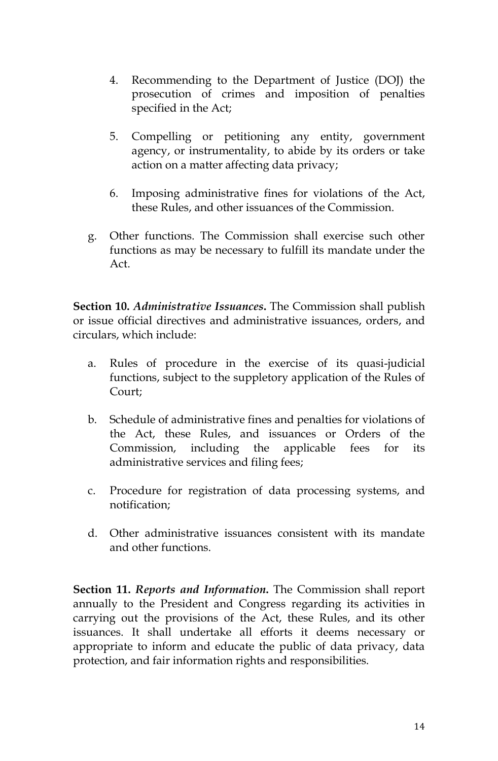- 4. Recommending to the Department of Justice (DOJ) the prosecution of crimes and imposition of penalties specified in the Act;
- 5. Compelling or petitioning any entity, government agency, or instrumentality, to abide by its orders or take action on a matter affecting data privacy;
- 6. Imposing administrative fines for violations of the Act, these Rules, and other issuances of the Commission.
- g. Other functions. The Commission shall exercise such other functions as may be necessary to fulfill its mandate under the Act.

**Section 10.** *Administrative Issuances***.** The Commission shall publish or issue official directives and administrative issuances, orders, and circulars, which include:

- a. Rules of procedure in the exercise of its quasi-judicial functions, subject to the suppletory application of the Rules of Court;
- b. Schedule of administrative fines and penalties for violations of the Act, these Rules, and issuances or Orders of the Commission, including the applicable fees for its administrative services and filing fees;
- c. Procedure for registration of data processing systems, and notification;
- d. Other administrative issuances consistent with its mandate and other functions.

**Section 11.** *Reports and Information***.** The Commission shall report annually to the President and Congress regarding its activities in carrying out the provisions of the Act, these Rules, and its other issuances. It shall undertake all efforts it deems necessary or appropriate to inform and educate the public of data privacy, data protection, and fair information rights and responsibilities.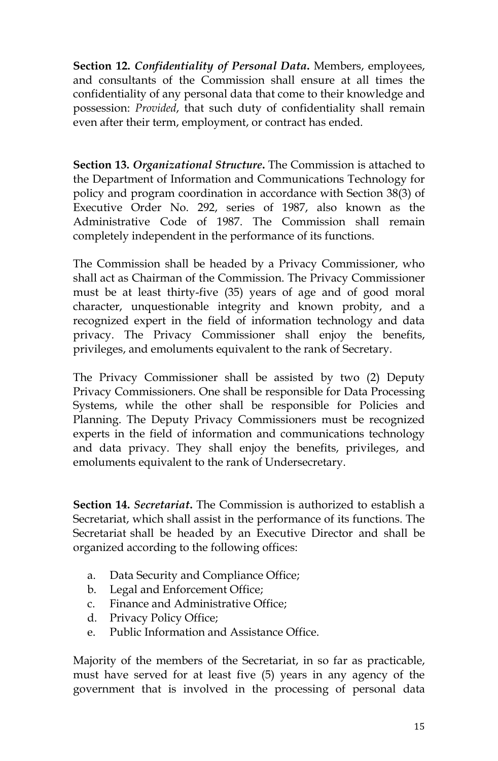**Section 12.** *Confidentiality of Personal Data***.** Members, employees, and consultants of the Commission shall ensure at all times the confidentiality of any personal data that come to their knowledge and possession: *Provided*, that such duty of confidentiality shall remain even after their term, employment, or contract has ended.

**Section 13.** *Organizational Structure***.** The Commission is attached to the Department of Information and Communications Technology for policy and program coordination in accordance with Section 38(3) of Executive Order No. 292, series of 1987, also known as the Administrative Code of 1987. The Commission shall remain completely independent in the performance of its functions.

The Commission shall be headed by a Privacy Commissioner, who shall act as Chairman of the Commission. The Privacy Commissioner must be at least thirty-five (35) years of age and of good moral character, unquestionable integrity and known probity, and a recognized expert in the field of information technology and data privacy. The Privacy Commissioner shall enjoy the benefits, privileges, and emoluments equivalent to the rank of Secretary.

The Privacy Commissioner shall be assisted by two (2) Deputy Privacy Commissioners. One shall be responsible for Data Processing Systems, while the other shall be responsible for Policies and Planning. The Deputy Privacy Commissioners must be recognized experts in the field of information and communications technology and data privacy. They shall enjoy the benefits, privileges, and emoluments equivalent to the rank of Undersecretary.

**Section 14.** *Secretariat***.** The Commission is authorized to establish a Secretariat, which shall assist in the performance of its functions. The Secretariat shall be headed by an Executive Director and shall be organized according to the following offices:

- a. Data Security and Compliance Office;
- b. Legal and Enforcement Office;
- c. Finance and Administrative Office;
- d. Privacy Policy Office;
- e. Public Information and Assistance Office.

Majority of the members of the Secretariat, in so far as practicable, must have served for at least five (5) years in any agency of the government that is involved in the processing of personal data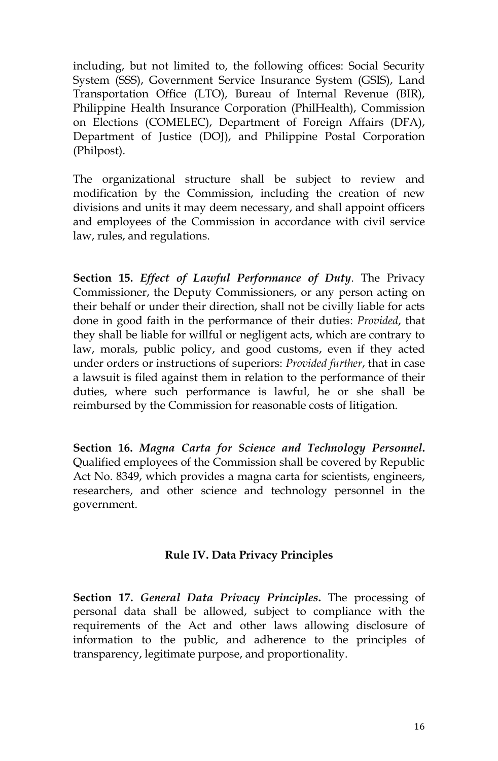including, but not limited to, the following offices: Social Security System (SSS), Government Service Insurance System (GSIS), Land Transportation Office (LTO), Bureau of Internal Revenue (BIR), Philippine Health Insurance Corporation (PhilHealth), Commission on Elections (COMELEC), Department of Foreign Affairs (DFA), Department of Justice (DOJ), and Philippine Postal Corporation (Philpost).

The organizational structure shall be subject to review and modification by the Commission, including the creation of new divisions and units it may deem necessary, and shall appoint officers and employees of the Commission in accordance with civil service law, rules, and regulations.

**Section 15.** *Effect of Lawful Performance of Duty*. The Privacy Commissioner, the Deputy Commissioners, or any person acting on their behalf or under their direction, shall not be civilly liable for acts done in good faith in the performance of their duties: *Provided*, that they shall be liable for willful or negligent acts, which are contrary to law, morals, public policy, and good customs, even if they acted under orders or instructions of superiors: *Provided further*, that in case a lawsuit is filed against them in relation to the performance of their duties, where such performance is lawful, he or she shall be reimbursed by the Commission for reasonable costs of litigation.

**Section 16.** *Magna Carta for Science and Technology Personnel***.** Qualified employees of the Commission shall be covered by Republic Act No. 8349, which provides a magna carta for scientists, engineers, researchers, and other science and technology personnel in the government.

### **Rule IV. Data Privacy Principles**

**Section 17.** *General Data Privacy Principles***.** The processing of personal data shall be allowed, subject to compliance with the requirements of the Act and other laws allowing disclosure of information to the public, and adherence to the principles of transparency, legitimate purpose, and proportionality.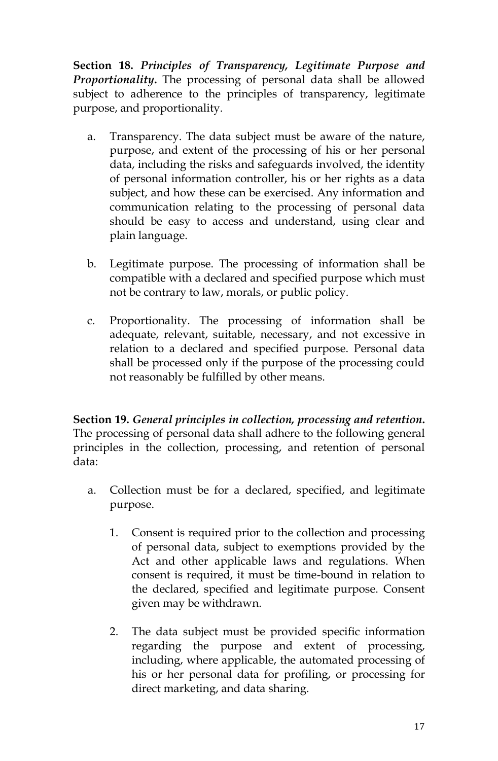**Section 18.** *Principles of Transparency, Legitimate Purpose and Proportionality***.** The processing of personal data shall be allowed subject to adherence to the principles of transparency, legitimate purpose, and proportionality.

- a. Transparency. The data subject must be aware of the nature, purpose, and extent of the processing of his or her personal data, including the risks and safeguards involved, the identity of personal information controller, his or her rights as a data subject, and how these can be exercised. Any information and communication relating to the processing of personal data should be easy to access and understand, using clear and plain language.
- b. Legitimate purpose. The processing of information shall be compatible with a declared and specified purpose which must not be contrary to law, morals, or public policy.
- c. Proportionality. The processing of information shall be adequate, relevant, suitable, necessary, and not excessive in relation to a declared and specified purpose. Personal data shall be processed only if the purpose of the processing could not reasonably be fulfilled by other means.

**Section 19.** *General principles in collection, processing and retention***.** The processing of personal data shall adhere to the following general principles in the collection, processing, and retention of personal data:

- a. Collection must be for a declared, specified, and legitimate purpose.
	- 1. Consent is required prior to the collection and processing of personal data, subject to exemptions provided by the Act and other applicable laws and regulations. When consent is required, it must be time-bound in relation to the declared, specified and legitimate purpose. Consent given may be withdrawn.
	- 2. The data subject must be provided specific information regarding the purpose and extent of processing, including, where applicable, the automated processing of his or her personal data for profiling, or processing for direct marketing, and data sharing.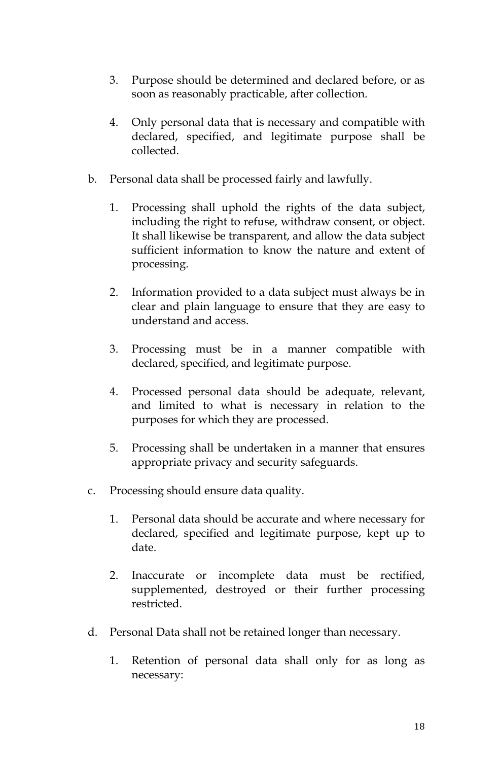- 3. Purpose should be determined and declared before, or as soon as reasonably practicable, after collection.
- 4. Only personal data that is necessary and compatible with declared, specified, and legitimate purpose shall be collected.
- b. Personal data shall be processed fairly and lawfully.
	- 1. Processing shall uphold the rights of the data subject, including the right to refuse, withdraw consent, or object. It shall likewise be transparent, and allow the data subject sufficient information to know the nature and extent of processing.
	- 2. Information provided to a data subject must always be in clear and plain language to ensure that they are easy to understand and access.
	- 3. Processing must be in a manner compatible with declared, specified, and legitimate purpose.
	- 4. Processed personal data should be adequate, relevant, and limited to what is necessary in relation to the purposes for which they are processed.
	- 5. Processing shall be undertaken in a manner that ensures appropriate privacy and security safeguards.
- c. Processing should ensure data quality.
	- 1. Personal data should be accurate and where necessary for declared, specified and legitimate purpose, kept up to date.
	- 2. Inaccurate or incomplete data must be rectified, supplemented, destroyed or their further processing restricted.
- d. Personal Data shall not be retained longer than necessary.
	- 1. Retention of personal data shall only for as long as necessary: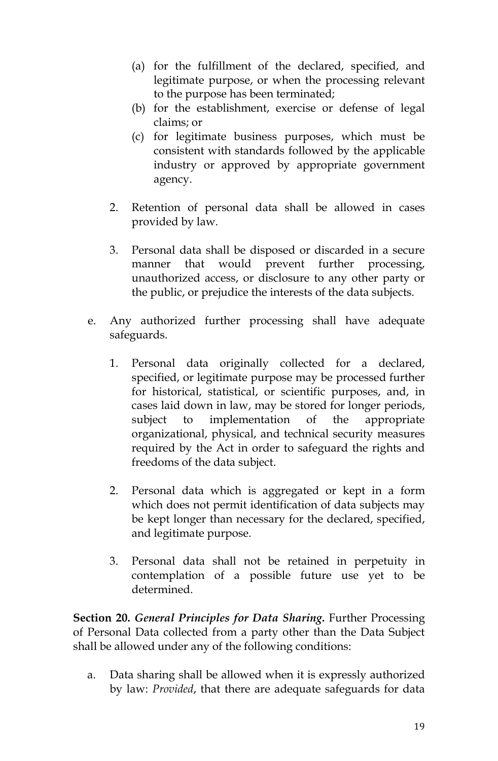- (a) for the fulfillment of the declared, specified, and legitimate purpose, or when the processing relevant to the purpose has been terminated;
- (b) for the establishment, exercise or defense of legal claims; or
- (c) for legitimate business purposes, which must be consistent with standards followed by the applicable industry or approved by appropriate government agency.
- 2. Retention of personal data shall be allowed in cases provided by law.
- 3. Personal data shall be disposed or discarded in a secure manner that would prevent further processing, unauthorized access, or disclosure to any other party or the public, or prejudice the interests of the data subjects.
- e. Any authorized further processing shall have adequate safeguards.
	- 1. Personal data originally collected for a declared, specified, or legitimate purpose may be processed further for historical, statistical, or scientific purposes, and, in cases laid down in law, may be stored for longer periods, subject to implementation of the appropriate organizational, physical, and technical security measures required by the Act in order to safeguard the rights and freedoms of the data subject.
	- 2. Personal data which is aggregated or kept in a form which does not permit identification of data subjects may be kept longer than necessary for the declared, specified, and legitimate purpose.
	- 3. Personal data shall not be retained in perpetuity in contemplation of a possible future use yet to be determined.

**Section 20.** *General Principles for Data Sharing***.** Further Processing of Personal Data collected from a party other than the Data Subject shall be allowed under any of the following conditions:

a. Data sharing shall be allowed when it is expressly authorized by law: *Provided*, that there are adequate safeguards for data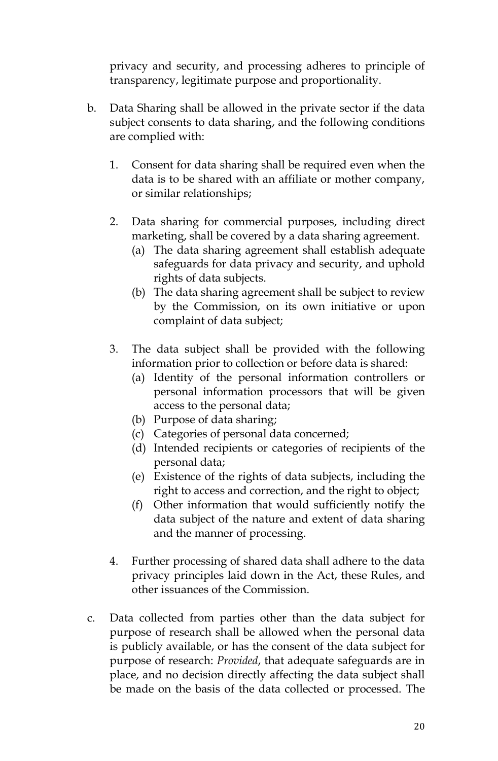privacy and security, and processing adheres to principle of transparency, legitimate purpose and proportionality.

- b. Data Sharing shall be allowed in the private sector if the data subject consents to data sharing, and the following conditions are complied with:
	- 1. Consent for data sharing shall be required even when the data is to be shared with an affiliate or mother company, or similar relationships;
	- 2. Data sharing for commercial purposes, including direct marketing, shall be covered by a data sharing agreement.
		- (a) The data sharing agreement shall establish adequate safeguards for data privacy and security, and uphold rights of data subjects.
		- (b) The data sharing agreement shall be subject to review by the Commission, on its own initiative or upon complaint of data subject;
	- 3. The data subject shall be provided with the following information prior to collection or before data is shared:
		- (a) Identity of the personal information controllers or personal information processors that will be given access to the personal data;
		- (b) Purpose of data sharing;
		- (c) Categories of personal data concerned;
		- (d) Intended recipients or categories of recipients of the personal data;
		- (e) Existence of the rights of data subjects, including the right to access and correction, and the right to object;
		- (f) Other information that would sufficiently notify the data subject of the nature and extent of data sharing and the manner of processing.
	- 4. Further processing of shared data shall adhere to the data privacy principles laid down in the Act, these Rules, and other issuances of the Commission.
- c. Data collected from parties other than the data subject for purpose of research shall be allowed when the personal data is publicly available, or has the consent of the data subject for purpose of research: *Provided*, that adequate safeguards are in place, and no decision directly affecting the data subject shall be made on the basis of the data collected or processed. The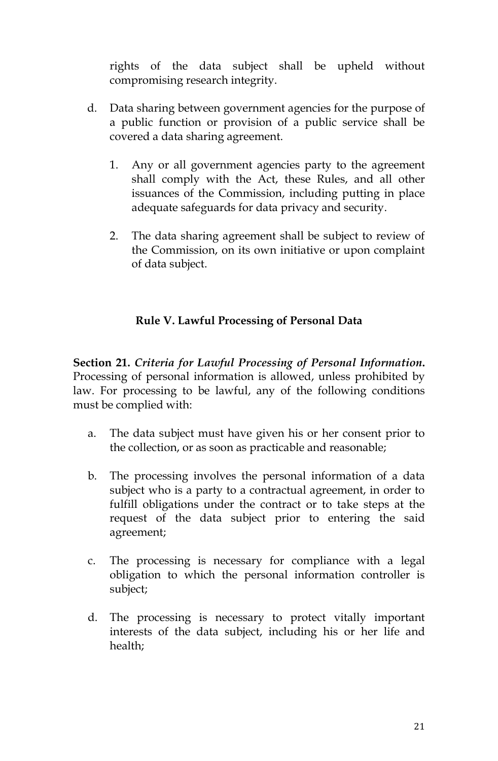rights of the data subject shall be upheld without compromising research integrity.

- d. Data sharing between government agencies for the purpose of a public function or provision of a public service shall be covered a data sharing agreement.
	- 1. Any or all government agencies party to the agreement shall comply with the Act, these Rules, and all other issuances of the Commission, including putting in place adequate safeguards for data privacy and security.
	- 2. The data sharing agreement shall be subject to review of the Commission, on its own initiative or upon complaint of data subject.

# **Rule V. Lawful Processing of Personal Data**

**Section 21.** *Criteria for Lawful Processing of Personal Information***.** Processing of personal information is allowed, unless prohibited by law. For processing to be lawful, any of the following conditions must be complied with:

- a. The data subject must have given his or her consent prior to the collection, or as soon as practicable and reasonable;
- b. The processing involves the personal information of a data subject who is a party to a contractual agreement, in order to fulfill obligations under the contract or to take steps at the request of the data subject prior to entering the said agreement;
- c. The processing is necessary for compliance with a legal obligation to which the personal information controller is subject;
- d. The processing is necessary to protect vitally important interests of the data subject, including his or her life and health;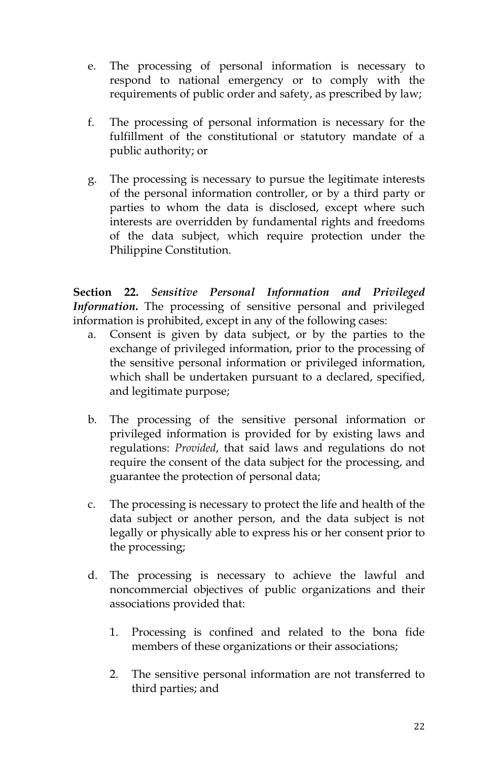- e. The processing of personal information is necessary to respond to national emergency or to comply with the requirements of public order and safety, as prescribed by law;
- f. The processing of personal information is necessary for the fulfillment of the constitutional or statutory mandate of a public authority; or
- g. The processing is necessary to pursue the legitimate interests of the personal information controller, or by a third party or parties to whom the data is disclosed, except where such interests are overridden by fundamental rights and freedoms of the data subject, which require protection under the Philippine Constitution.

**Section 22.** *Sensitive Personal Information and Privileged Information***.** The processing of sensitive personal and privileged information is prohibited, except in any of the following cases:

- a. Consent is given by data subject, or by the parties to the exchange of privileged information, prior to the processing of the sensitive personal information or privileged information, which shall be undertaken pursuant to a declared, specified, and legitimate purpose;
- b. The processing of the sensitive personal information or privileged information is provided for by existing laws and regulations: *Provided*, that said laws and regulations do not require the consent of the data subject for the processing, and guarantee the protection of personal data;
- c. The processing is necessary to protect the life and health of the data subject or another person, and the data subject is not legally or physically able to express his or her consent prior to the processing;
- d. The processing is necessary to achieve the lawful and noncommercial objectives of public organizations and their associations provided that:
	- 1. Processing is confined and related to the bona fide members of these organizations or their associations;
	- 2. The sensitive personal information are not transferred to third parties; and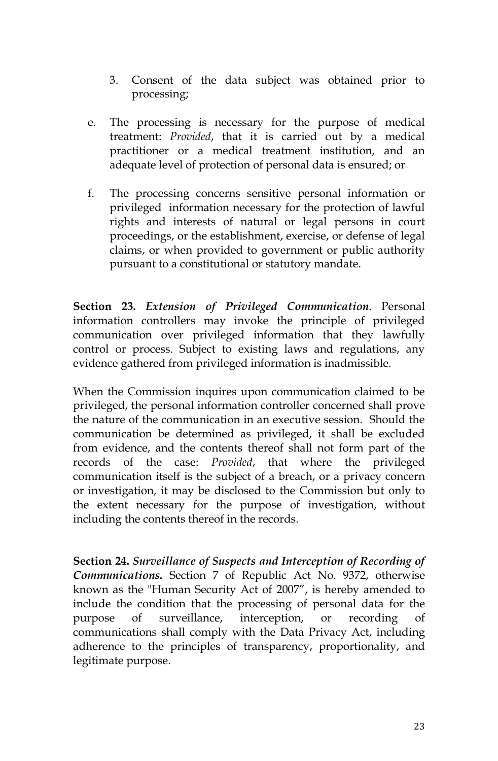- 3. Consent of the data subject was obtained prior to processing;
- e. The processing is necessary for the purpose of medical treatment: *Provided*, that it is carried out by a medical practitioner or a medical treatment institution, and an adequate level of protection of personal data is ensured; or
- f. The processing concerns sensitive personal information or privileged information necessary for the protection of lawful rights and interests of natural or legal persons in court proceedings, or the establishment, exercise, or defense of legal claims, or when provided to government or public authority pursuant to a constitutional or statutory mandate.

**Section 23.** *Extension of Privileged Communication*. Personal information controllers may invoke the principle of privileged communication over privileged information that they lawfully control or process. Subject to existing laws and regulations, any evidence gathered from privileged information is inadmissible.

When the Commission inquires upon communication claimed to be privileged, the personal information controller concerned shall prove the nature of the communication in an executive session. Should the communication be determined as privileged, it shall be excluded from evidence, and the contents thereof shall not form part of the records of the case: *Provided*, that where the privileged communication itself is the subject of a breach, or a privacy concern or investigation, it may be disclosed to the Commission but only to the extent necessary for the purpose of investigation, without including the contents thereof in the records.

**Section 24.** *Surveillance of Suspects and Interception of Recording of Communications.* Section 7 of Republic Act No. 9372, otherwise known as the "Human Security Act of 2007", is hereby amended to include the condition that the processing of personal data for the purpose of surveillance, interception, or recording of communications shall comply with the Data Privacy Act, including adherence to the principles of transparency, proportionality, and legitimate purpose.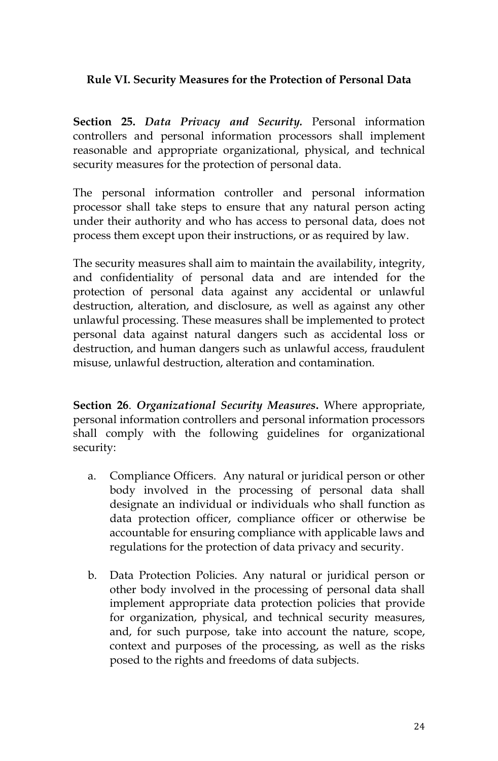### **Rule VI. Security Measures for the Protection of Personal Data**

**Section 25.** *Data Privacy and Security.* Personal information controllers and personal information processors shall implement reasonable and appropriate organizational, physical, and technical security measures for the protection of personal data.

The personal information controller and personal information processor shall take steps to ensure that any natural person acting under their authority and who has access to personal data, does not process them except upon their instructions, or as required by law.

The security measures shall aim to maintain the availability, integrity, and confidentiality of personal data and are intended for the protection of personal data against any accidental or unlawful destruction, alteration, and disclosure, as well as against any other unlawful processing. These measures shall be implemented to protect personal data against natural dangers such as accidental loss or destruction, and human dangers such as unlawful access, fraudulent misuse, unlawful destruction, alteration and contamination.

**Section 26**. *Organizational Security Measures***.** Where appropriate, personal information controllers and personal information processors shall comply with the following guidelines for organizational security:

- a. Compliance Officers. Any natural or juridical person or other body involved in the processing of personal data shall designate an individual or individuals who shall function as data protection officer, compliance officer or otherwise be accountable for ensuring compliance with applicable laws and regulations for the protection of data privacy and security.
- b. Data Protection Policies. Any natural or juridical person or other body involved in the processing of personal data shall implement appropriate data protection policies that provide for organization, physical, and technical security measures, and, for such purpose, take into account the nature, scope, context and purposes of the processing, as well as the risks posed to the rights and freedoms of data subjects.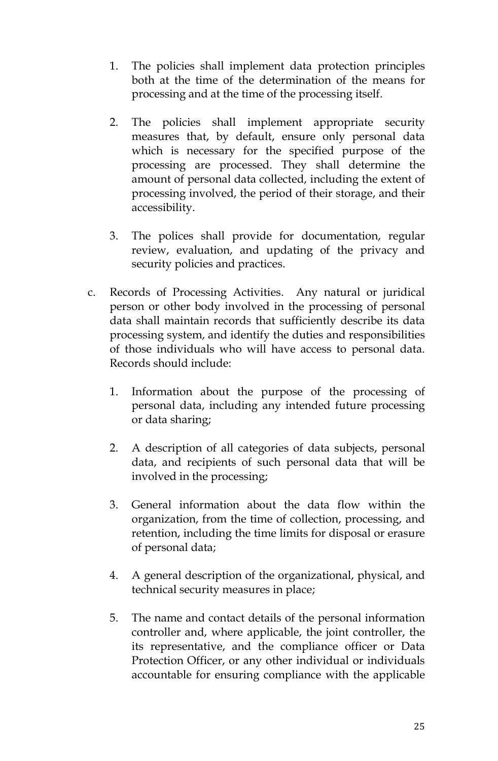- 1. The policies shall implement data protection principles both at the time of the determination of the means for processing and at the time of the processing itself.
- 2. The policies shall implement appropriate security measures that, by default, ensure only personal data which is necessary for the specified purpose of the processing are processed. They shall determine the amount of personal data collected, including the extent of processing involved, the period of their storage, and their accessibility.
- 3. The polices shall provide for documentation, regular review, evaluation, and updating of the privacy and security policies and practices.
- c. Records of Processing Activities. Any natural or juridical person or other body involved in the processing of personal data shall maintain records that sufficiently describe its data processing system, and identify the duties and responsibilities of those individuals who will have access to personal data. Records should include:
	- 1. Information about the purpose of the processing of personal data, including any intended future processing or data sharing;
	- 2. A description of all categories of data subjects, personal data, and recipients of such personal data that will be involved in the processing;
	- 3. General information about the data flow within the organization, from the time of collection, processing, and retention, including the time limits for disposal or erasure of personal data;
	- 4. A general description of the organizational, physical, and technical security measures in place;
	- 5. The name and contact details of the personal information controller and, where applicable, the joint controller, the its representative, and the compliance officer or Data Protection Officer, or any other individual or individuals accountable for ensuring compliance with the applicable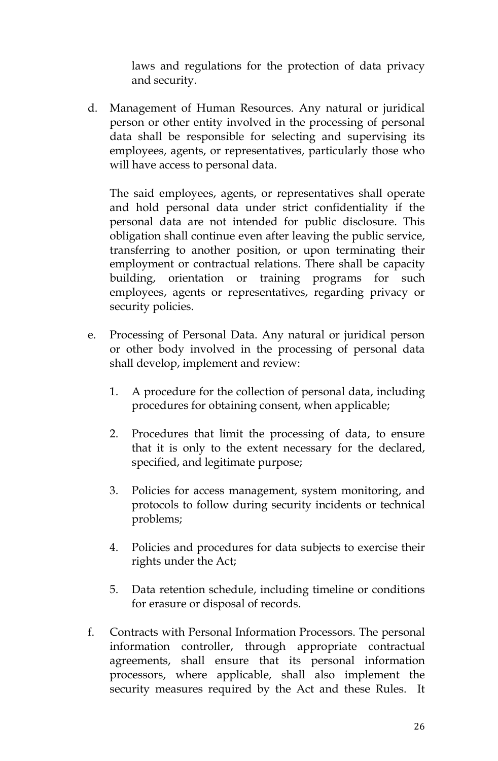laws and regulations for the protection of data privacy and security.

d. Management of Human Resources. Any natural or juridical person or other entity involved in the processing of personal data shall be responsible for selecting and supervising its employees, agents, or representatives, particularly those who will have access to personal data.

The said employees, agents, or representatives shall operate and hold personal data under strict confidentiality if the personal data are not intended for public disclosure. This obligation shall continue even after leaving the public service, transferring to another position, or upon terminating their employment or contractual relations. There shall be capacity building, orientation or training programs for such employees, agents or representatives, regarding privacy or security policies.

- e. Processing of Personal Data. Any natural or juridical person or other body involved in the processing of personal data shall develop, implement and review:
	- 1. A procedure for the collection of personal data, including procedures for obtaining consent, when applicable;
	- 2. Procedures that limit the processing of data, to ensure that it is only to the extent necessary for the declared, specified, and legitimate purpose;
	- 3. Policies for access management, system monitoring, and protocols to follow during security incidents or technical problems;
	- 4. Policies and procedures for data subjects to exercise their rights under the Act;
	- 5. Data retention schedule, including timeline or conditions for erasure or disposal of records.
- f. Contracts with Personal Information Processors. The personal information controller, through appropriate contractual agreements, shall ensure that its personal information processors, where applicable, shall also implement the security measures required by the Act and these Rules. It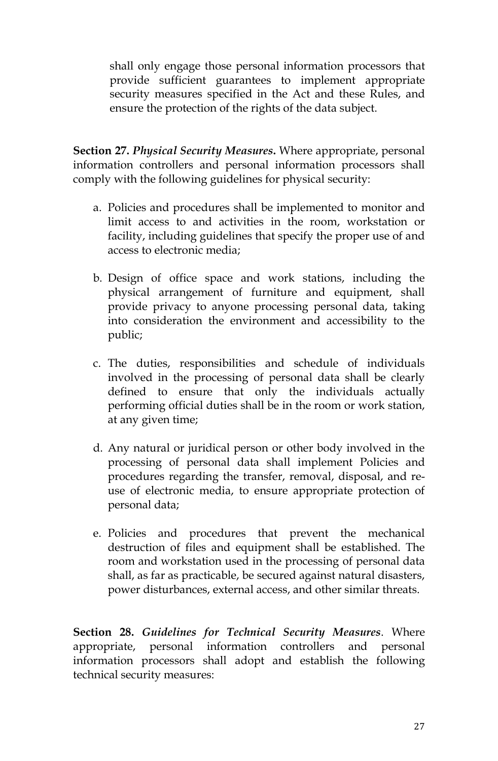shall only engage those personal information processors that provide sufficient guarantees to implement appropriate security measures specified in the Act and these Rules, and ensure the protection of the rights of the data subject.

**Section 27.** *Physical Security Measures***.** Where appropriate, personal information controllers and personal information processors shall comply with the following guidelines for physical security:

- a. Policies and procedures shall be implemented to monitor and limit access to and activities in the room, workstation or facility, including guidelines that specify the proper use of and access to electronic media;
- b. Design of office space and work stations, including the physical arrangement of furniture and equipment, shall provide privacy to anyone processing personal data, taking into consideration the environment and accessibility to the public;
- c. The duties, responsibilities and schedule of individuals involved in the processing of personal data shall be clearly defined to ensure that only the individuals actually performing official duties shall be in the room or work station, at any given time;
- d. Any natural or juridical person or other body involved in the processing of personal data shall implement Policies and procedures regarding the transfer, removal, disposal, and reuse of electronic media, to ensure appropriate protection of personal data;
- e. Policies and procedures that prevent the mechanical destruction of files and equipment shall be established. The room and workstation used in the processing of personal data shall, as far as practicable, be secured against natural disasters, power disturbances, external access, and other similar threats.

**Section 28.** *Guidelines for Technical Security Measures*. Where appropriate, personal information controllers and personal information processors shall adopt and establish the following technical security measures: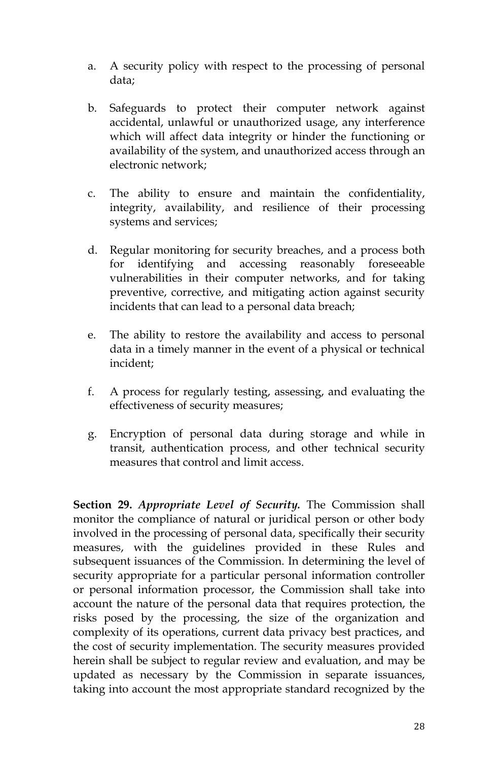- a. A security policy with respect to the processing of personal data;
- b. Safeguards to protect their computer network against accidental, unlawful or unauthorized usage, any interference which will affect data integrity or hinder the functioning or availability of the system, and unauthorized access through an electronic network;
- c. The ability to ensure and maintain the confidentiality, integrity, availability, and resilience of their processing systems and services;
- d. Regular monitoring for security breaches, and a process both for identifying and accessing reasonably foreseeable vulnerabilities in their computer networks, and for taking preventive, corrective, and mitigating action against security incidents that can lead to a personal data breach;
- e. The ability to restore the availability and access to personal data in a timely manner in the event of a physical or technical incident;
- f. A process for regularly testing, assessing, and evaluating the effectiveness of security measures;
- g. Encryption of personal data during storage and while in transit, authentication process, and other technical security measures that control and limit access.

**Section 29.** *Appropriate Level of Security.* The Commission shall monitor the compliance of natural or juridical person or other body involved in the processing of personal data, specifically their security measures, with the guidelines provided in these Rules and subsequent issuances of the Commission. In determining the level of security appropriate for a particular personal information controller or personal information processor, the Commission shall take into account the nature of the personal data that requires protection, the risks posed by the processing, the size of the organization and complexity of its operations, current data privacy best practices, and the cost of security implementation. The security measures provided herein shall be subject to regular review and evaluation, and may be updated as necessary by the Commission in separate issuances, taking into account the most appropriate standard recognized by the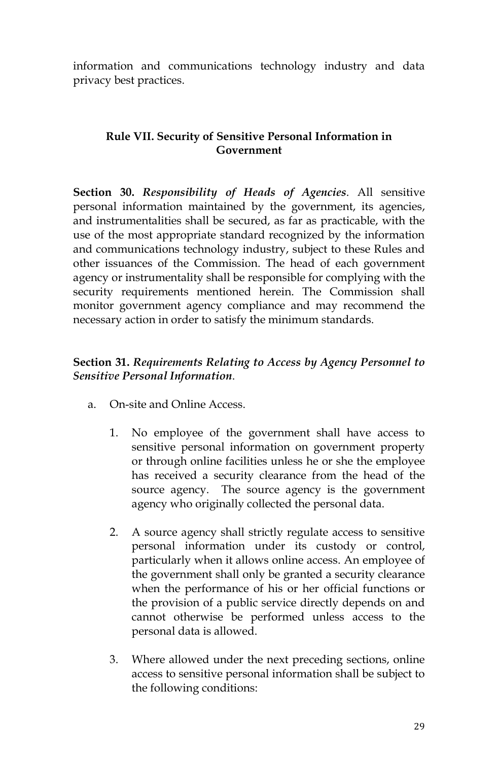information and communications technology industry and data privacy best practices.

### **Rule VII. Security of Sensitive Personal Information in Government**

**Section 30.** *Responsibility of Heads of Agencies*. All sensitive personal information maintained by the government, its agencies, and instrumentalities shall be secured, as far as practicable, with the use of the most appropriate standard recognized by the information and communications technology industry, subject to these Rules and other issuances of the Commission. The head of each government agency or instrumentality shall be responsible for complying with the security requirements mentioned herein. The Commission shall monitor government agency compliance and may recommend the necessary action in order to satisfy the minimum standards.

### **Section 31.** *Requirements Relating to Access by Agency Personnel to Sensitive Personal Information*.

- a. On-site and Online Access.
	- 1. No employee of the government shall have access to sensitive personal information on government property or through online facilities unless he or she the employee has received a security clearance from the head of the source agency. The source agency is the government agency who originally collected the personal data.
	- 2. A source agency shall strictly regulate access to sensitive personal information under its custody or control, particularly when it allows online access. An employee of the government shall only be granted a security clearance when the performance of his or her official functions or the provision of a public service directly depends on and cannot otherwise be performed unless access to the personal data is allowed.
	- 3. Where allowed under the next preceding sections, online access to sensitive personal information shall be subject to the following conditions: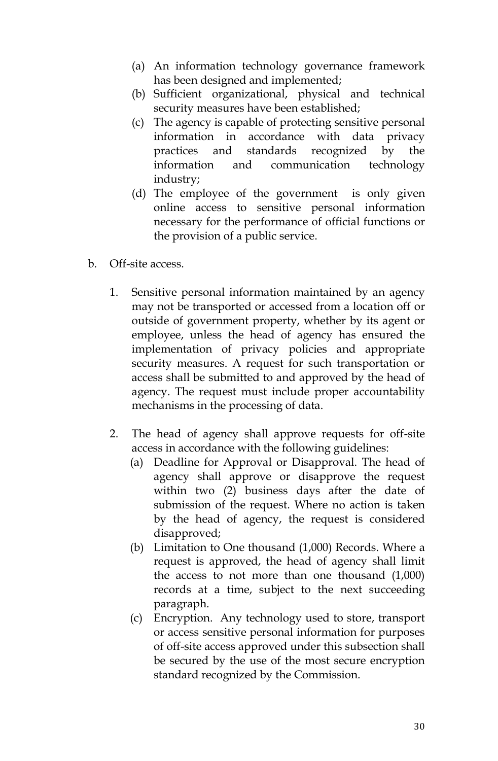- (a) An information technology governance framework has been designed and implemented;
- (b) Sufficient organizational, physical and technical security measures have been established;
- (c) The agency is capable of protecting sensitive personal information in accordance with data privacy practices and standards recognized by the information and communication technology industry;
- (d) The employee of the government is only given online access to sensitive personal information necessary for the performance of official functions or the provision of a public service.
- b. Off-site access.
	- 1. Sensitive personal information maintained by an agency may not be transported or accessed from a location off or outside of government property, whether by its agent or employee, unless the head of agency has ensured the implementation of privacy policies and appropriate security measures. A request for such transportation or access shall be submitted to and approved by the head of agency. The request must include proper accountability mechanisms in the processing of data.
	- 2. The head of agency shall approve requests for off-site access in accordance with the following guidelines:
		- (a) Deadline for Approval or Disapproval. The head of agency shall approve or disapprove the request within two (2) business days after the date of submission of the request. Where no action is taken by the head of agency, the request is considered disapproved;
		- (b) Limitation to One thousand (1,000) Records. Where a request is approved, the head of agency shall limit the access to not more than one thousand (1,000) records at a time, subject to the next succeeding paragraph.
		- (c) Encryption. Any technology used to store, transport or access sensitive personal information for purposes of off-site access approved under this subsection shall be secured by the use of the most secure encryption standard recognized by the Commission.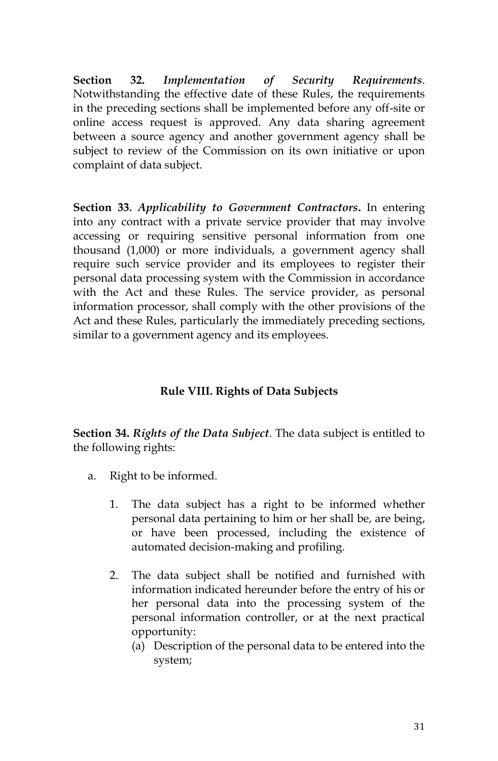**Section 32.** *Implementation of Security Requirements*. Notwithstanding the effective date of these Rules, the requirements in the preceding sections shall be implemented before any off-site or online access request is approved. Any data sharing agreement between a source agency and another government agency shall be subject to review of the Commission on its own initiative or upon complaint of data subject.

**Section 33.** *Applicability to Government Contractors***.** In entering into any contract with a private service provider that may involve accessing or requiring sensitive personal information from one thousand (1,000) or more individuals, a government agency shall require such service provider and its employees to register their personal data processing system with the Commission in accordance with the Act and these Rules. The service provider, as personal information processor, shall comply with the other provisions of the Act and these Rules, particularly the immediately preceding sections, similar to a government agency and its employees.

### **Rule VIII. Rights of Data Subjects**

**Section 34.** *Rights of the Data Subject*. The data subject is entitled to the following rights:

- a. Right to be informed.
	- 1. The data subject has a right to be informed whether personal data pertaining to him or her shall be, are being, or have been processed, including the existence of automated decision-making and profiling.
	- 2. The data subject shall be notified and furnished with information indicated hereunder before the entry of his or her personal data into the processing system of the personal information controller, or at the next practical opportunity:
		- (a) Description of the personal data to be entered into the system;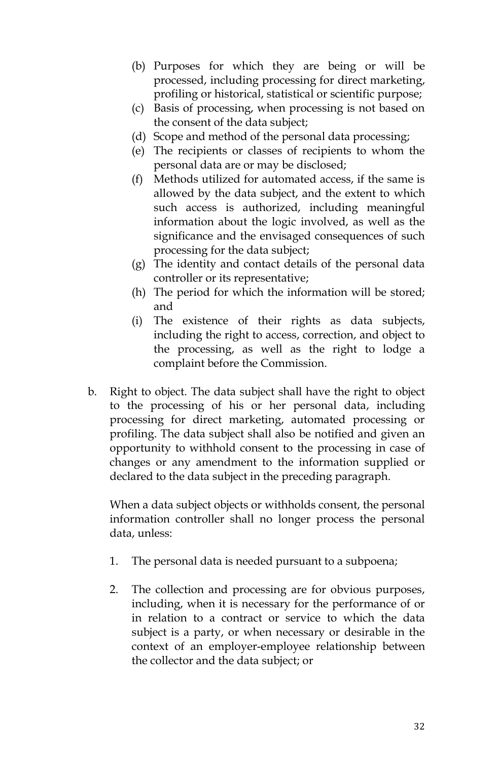- (b) Purposes for which they are being or will be processed, including processing for direct marketing, profiling or historical, statistical or scientific purpose;
- (c) Basis of processing, when processing is not based on the consent of the data subject;
- (d) Scope and method of the personal data processing;
- (e) The recipients or classes of recipients to whom the personal data are or may be disclosed;
- (f) Methods utilized for automated access, if the same is allowed by the data subject, and the extent to which such access is authorized, including meaningful information about the logic involved, as well as the significance and the envisaged consequences of such processing for the data subject;
- (g) The identity and contact details of the personal data controller or its representative;
- (h) The period for which the information will be stored; and
- (i) The existence of their rights as data subjects, including the right to access, correction, and object to the processing, as well as the right to lodge a complaint before the Commission.
- b. Right to object. The data subject shall have the right to object to the processing of his or her personal data, including processing for direct marketing, automated processing or profiling. The data subject shall also be notified and given an opportunity to withhold consent to the processing in case of changes or any amendment to the information supplied or declared to the data subject in the preceding paragraph.

When a data subject objects or withholds consent, the personal information controller shall no longer process the personal data, unless:

- 1. The personal data is needed pursuant to a subpoena;
- 2. The collection and processing are for obvious purposes, including, when it is necessary for the performance of or in relation to a contract or service to which the data subject is a party, or when necessary or desirable in the context of an employer-employee relationship between the collector and the data subject; or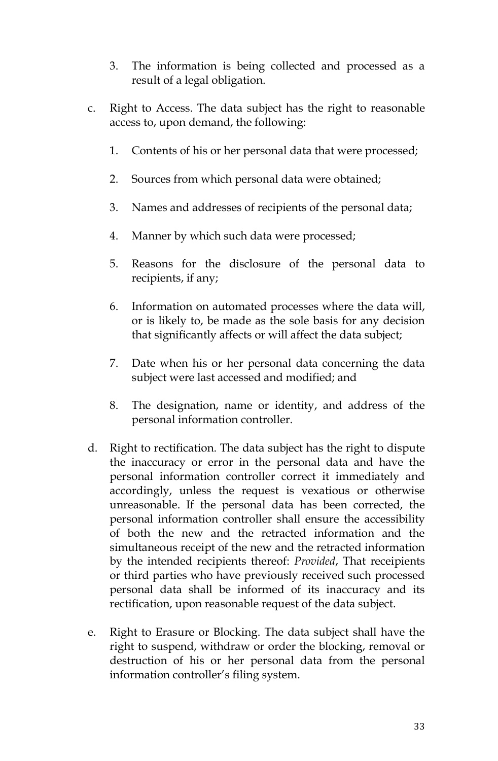- 3. The information is being collected and processed as a result of a legal obligation.
- c. Right to Access. The data subject has the right to reasonable access to, upon demand, the following:
	- 1. Contents of his or her personal data that were processed;
	- 2. Sources from which personal data were obtained;
	- 3. Names and addresses of recipients of the personal data;
	- 4. Manner by which such data were processed;
	- 5. Reasons for the disclosure of the personal data to recipients, if any;
	- 6. Information on automated processes where the data will, or is likely to, be made as the sole basis for any decision that significantly affects or will affect the data subject;
	- 7. Date when his or her personal data concerning the data subject were last accessed and modified; and
	- 8. The designation, name or identity, and address of the personal information controller.
- d. Right to rectification. The data subject has the right to dispute the inaccuracy or error in the personal data and have the personal information controller correct it immediately and accordingly, unless the request is vexatious or otherwise unreasonable. If the personal data has been corrected, the personal information controller shall ensure the accessibility of both the new and the retracted information and the simultaneous receipt of the new and the retracted information by the intended recipients thereof: *Provided*, That receipients or third parties who have previously received such processed personal data shall be informed of its inaccuracy and its rectification, upon reasonable request of the data subject.
- e. Right to Erasure or Blocking. The data subject shall have the right to suspend, withdraw or order the blocking, removal or destruction of his or her personal data from the personal information controller's filing system.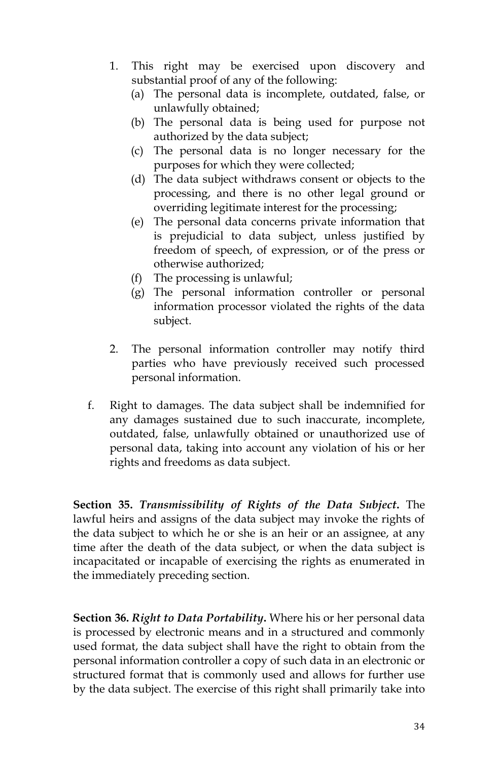- 1. This right may be exercised upon discovery and substantial proof of any of the following:
	- (a) The personal data is incomplete, outdated, false, or unlawfully obtained;
	- (b) The personal data is being used for purpose not authorized by the data subject;
	- (c) The personal data is no longer necessary for the purposes for which they were collected;
	- (d) The data subject withdraws consent or objects to the processing, and there is no other legal ground or overriding legitimate interest for the processing;
	- (e) The personal data concerns private information that is prejudicial to data subject, unless justified by freedom of speech, of expression, or of the press or otherwise authorized;
	- (f) The processing is unlawful;
	- (g) The personal information controller or personal information processor violated the rights of the data subject.
- 2. The personal information controller may notify third parties who have previously received such processed personal information.
- f. Right to damages. The data subject shall be indemnified for any damages sustained due to such inaccurate, incomplete, outdated, false, unlawfully obtained or unauthorized use of personal data, taking into account any violation of his or her rights and freedoms as data subject.

**Section 35.** *Transmissibility of Rights of the Data Subject***.** The lawful heirs and assigns of the data subject may invoke the rights of the data subject to which he or she is an heir or an assignee, at any time after the death of the data subject, or when the data subject is incapacitated or incapable of exercising the rights as enumerated in the immediately preceding section.

**Section 36.** *Right to Data Portability***.** Where his or her personal data is processed by electronic means and in a structured and commonly used format, the data subject shall have the right to obtain from the personal information controller a copy of such data in an electronic or structured format that is commonly used and allows for further use by the data subject. The exercise of this right shall primarily take into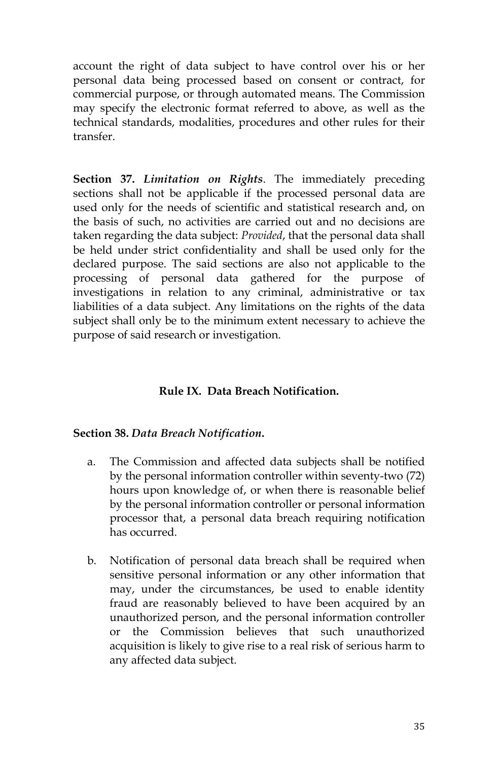account the right of data subject to have control over his or her personal data being processed based on consent or contract, for commercial purpose, or through automated means. The Commission may specify the electronic format referred to above, as well as the technical standards, modalities, procedures and other rules for their transfer.

**Section 37.** *Limitation on Rights*. The immediately preceding sections shall not be applicable if the processed personal data are used only for the needs of scientific and statistical research and, on the basis of such, no activities are carried out and no decisions are taken regarding the data subject: *Provided*, that the personal data shall be held under strict confidentiality and shall be used only for the declared purpose. The said sections are also not applicable to the processing of personal data gathered for the purpose of investigations in relation to any criminal, administrative or tax liabilities of a data subject. Any limitations on the rights of the data subject shall only be to the minimum extent necessary to achieve the purpose of said research or investigation.

# **Rule IX. Data Breach Notification.**

#### **Section 38.** *Data Breach Notification***.**

- a. The Commission and affected data subjects shall be notified by the personal information controller within seventy-two (72) hours upon knowledge of, or when there is reasonable belief by the personal information controller or personal information processor that, a personal data breach requiring notification has occurred.
- b. Notification of personal data breach shall be required when sensitive personal information or any other information that may, under the circumstances, be used to enable identity fraud are reasonably believed to have been acquired by an unauthorized person, and the personal information controller or the Commission believes that such unauthorized acquisition is likely to give rise to a real risk of serious harm to any affected data subject.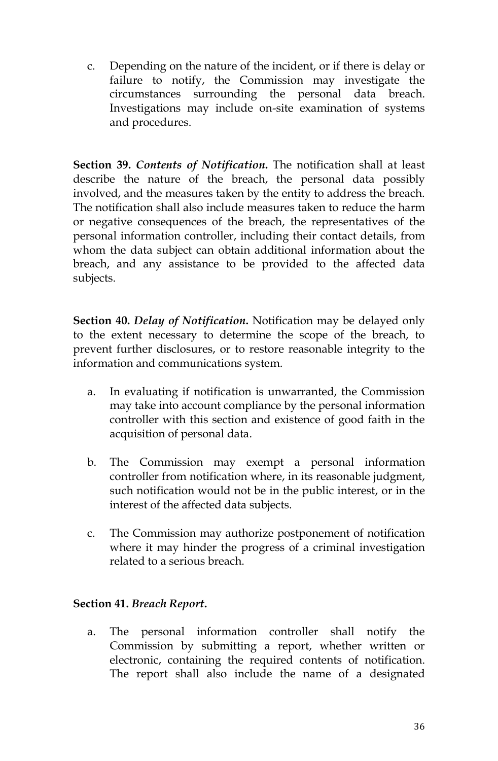c. Depending on the nature of the incident, or if there is delay or failure to notify, the Commission may investigate the circumstances surrounding the personal data breach. Investigations may include on-site examination of systems and procedures.

**Section 39.** *Contents of Notification***.** The notification shall at least describe the nature of the breach, the personal data possibly involved, and the measures taken by the entity to address the breach. The notification shall also include measures taken to reduce the harm or negative consequences of the breach, the representatives of the personal information controller, including their contact details, from whom the data subject can obtain additional information about the breach, and any assistance to be provided to the affected data subjects.

**Section 40.** *Delay of Notification***.** Notification may be delayed only to the extent necessary to determine the scope of the breach, to prevent further disclosures, or to restore reasonable integrity to the information and communications system.

- a. In evaluating if notification is unwarranted, the Commission may take into account compliance by the personal information controller with this section and existence of good faith in the acquisition of personal data.
- b. The Commission may exempt a personal information controller from notification where, in its reasonable judgment, such notification would not be in the public interest, or in the interest of the affected data subjects.
- c. The Commission may authorize postponement of notification where it may hinder the progress of a criminal investigation related to a serious breach.

### **Section 41.** *Breach Report***.**

a. The personal information controller shall notify the Commission by submitting a report, whether written or electronic, containing the required contents of notification. The report shall also include the name of a designated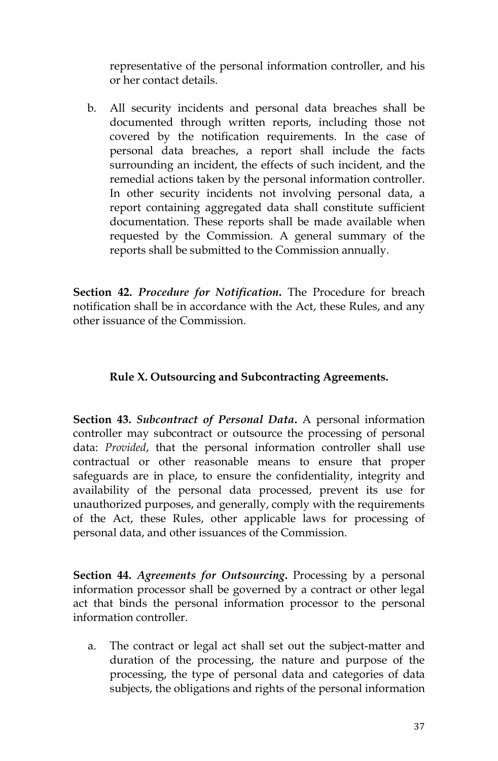representative of the personal information controller, and his or her contact details.

b. All security incidents and personal data breaches shall be documented through written reports, including those not covered by the notification requirements. In the case of personal data breaches, a report shall include the facts surrounding an incident, the effects of such incident, and the remedial actions taken by the personal information controller. In other security incidents not involving personal data, a report containing aggregated data shall constitute sufficient documentation. These reports shall be made available when requested by the Commission. A general summary of the reports shall be submitted to the Commission annually.

**Section 42.** *Procedure for Notification***.** The Procedure for breach notification shall be in accordance with the Act, these Rules, and any other issuance of the Commission.

#### **Rule X. Outsourcing and Subcontracting Agreements.**

**Section 43.** *Subcontract of Personal Data***.** A personal information controller may subcontract or outsource the processing of personal data: *Provided*, that the personal information controller shall use contractual or other reasonable means to ensure that proper safeguards are in place, to ensure the confidentiality, integrity and availability of the personal data processed, prevent its use for unauthorized purposes, and generally, comply with the requirements of the Act, these Rules, other applicable laws for processing of personal data, and other issuances of the Commission.

**Section 44.** *Agreements for Outsourcing***.** Processing by a personal information processor shall be governed by a contract or other legal act that binds the personal information processor to the personal information controller.

a. The contract or legal act shall set out the subject-matter and duration of the processing, the nature and purpose of the processing, the type of personal data and categories of data subjects, the obligations and rights of the personal information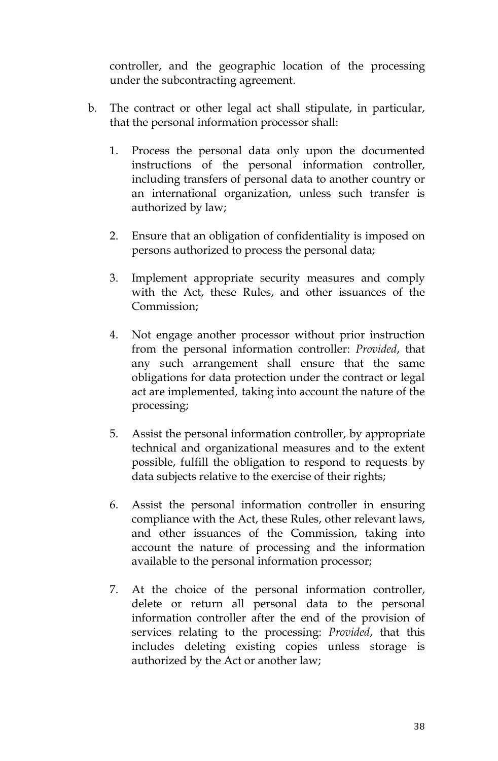controller, and the geographic location of the processing under the subcontracting agreement.

- b. The contract or other legal act shall stipulate, in particular, that the personal information processor shall:
	- 1. Process the personal data only upon the documented instructions of the personal information controller, including transfers of personal data to another country or an international organization, unless such transfer is authorized by law;
	- 2. Ensure that an obligation of confidentiality is imposed on persons authorized to process the personal data;
	- 3. Implement appropriate security measures and comply with the Act, these Rules, and other issuances of the Commission;
	- 4. Not engage another processor without prior instruction from the personal information controller: *Provided*, that any such arrangement shall ensure that the same obligations for data protection under the contract or legal act are implemented, taking into account the nature of the processing;
	- 5. Assist the personal information controller, by appropriate technical and organizational measures and to the extent possible, fulfill the obligation to respond to requests by data subjects relative to the exercise of their rights;
	- 6. Assist the personal information controller in ensuring compliance with the Act, these Rules, other relevant laws, and other issuances of the Commission, taking into account the nature of processing and the information available to the personal information processor;
	- 7. At the choice of the personal information controller, delete or return all personal data to the personal information controller after the end of the provision of services relating to the processing: *Provided*, that this includes deleting existing copies unless storage is authorized by the Act or another law;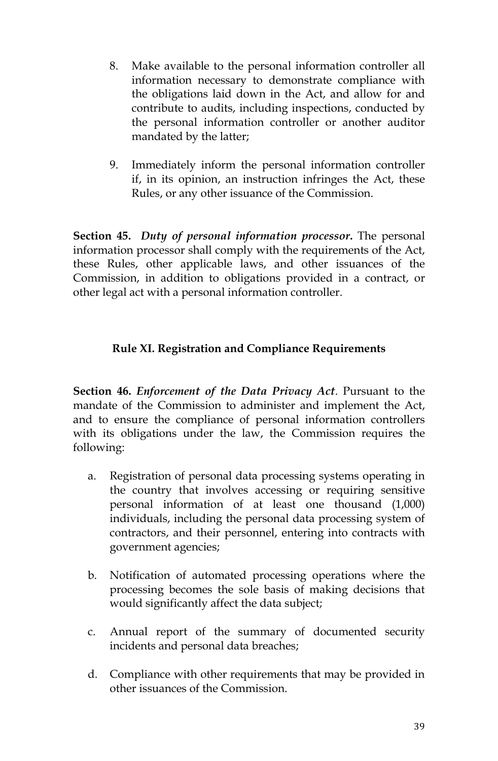- 8. Make available to the personal information controller all information necessary to demonstrate compliance with the obligations laid down in the Act, and allow for and contribute to audits, including inspections, conducted by the personal information controller or another auditor mandated by the latter;
- 9. Immediately inform the personal information controller if, in its opinion, an instruction infringes the Act, these Rules, or any other issuance of the Commission.

**Section 45.** *Duty of personal information processor***.** The personal information processor shall comply with the requirements of the Act, these Rules, other applicable laws, and other issuances of the Commission, in addition to obligations provided in a contract, or other legal act with a personal information controller.

# **Rule XI. Registration and Compliance Requirements**

**Section 46.** *Enforcement of the Data Privacy Act*. Pursuant to the mandate of the Commission to administer and implement the Act, and to ensure the compliance of personal information controllers with its obligations under the law, the Commission requires the following:

- a. Registration of personal data processing systems operating in the country that involves accessing or requiring sensitive personal information of at least one thousand (1,000) individuals, including the personal data processing system of contractors, and their personnel, entering into contracts with government agencies;
- b. Notification of automated processing operations where the processing becomes the sole basis of making decisions that would significantly affect the data subject;
- c. Annual report of the summary of documented security incidents and personal data breaches;
- d. Compliance with other requirements that may be provided in other issuances of the Commission.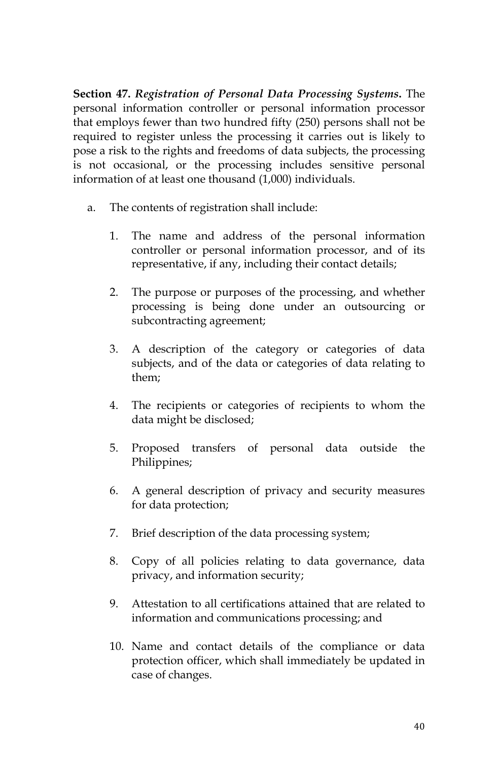**Section 47.** *Registration of Personal Data Processing Systems***.** The personal information controller or personal information processor that employs fewer than two hundred fifty (250) persons shall not be required to register unless the processing it carries out is likely to pose a risk to the rights and freedoms of data subjects, the processing is not occasional, or the processing includes sensitive personal information of at least one thousand (1,000) individuals.

- a. The contents of registration shall include:
	- 1. The name and address of the personal information controller or personal information processor, and of its representative, if any, including their contact details;
	- 2. The purpose or purposes of the processing, and whether processing is being done under an outsourcing or subcontracting agreement;
	- 3. A description of the category or categories of data subjects, and of the data or categories of data relating to them;
	- 4. The recipients or categories of recipients to whom the data might be disclosed;
	- 5. Proposed transfers of personal data outside the Philippines;
	- 6. A general description of privacy and security measures for data protection;
	- 7. Brief description of the data processing system;
	- 8. Copy of all policies relating to data governance, data privacy, and information security;
	- 9. Attestation to all certifications attained that are related to information and communications processing; and
	- 10. Name and contact details of the compliance or data protection officer, which shall immediately be updated in case of changes.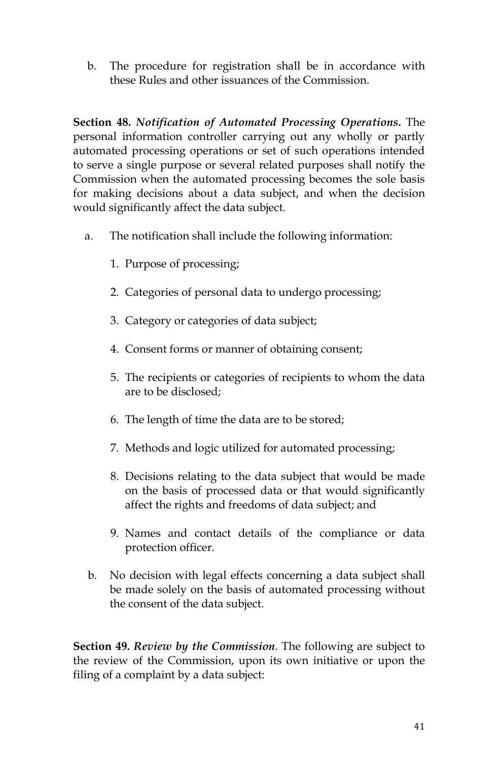b. The procedure for registration shall be in accordance with these Rules and other issuances of the Commission.

**Section 48.** *Notification of Automated Processing Operations***.** The personal information controller carrying out any wholly or partly automated processing operations or set of such operations intended to serve a single purpose or several related purposes shall notify the Commission when the automated processing becomes the sole basis for making decisions about a data subject, and when the decision would significantly affect the data subject.

- a. The notification shall include the following information:
	- 1. Purpose of processing;
	- 2. Categories of personal data to undergo processing;
	- 3. Category or categories of data subject;
	- 4. Consent forms or manner of obtaining consent;
	- 5. The recipients or categories of recipients to whom the data are to be disclosed;
	- 6. The length of time the data are to be stored;
	- 7. Methods and logic utilized for automated processing;
	- 8. Decisions relating to the data subject that would be made on the basis of processed data or that would significantly affect the rights and freedoms of data subject; and
	- 9. Names and contact details of the compliance or data protection officer.
- b. No decision with legal effects concerning a data subject shall be made solely on the basis of automated processing without the consent of the data subject.

**Section 49.** *Review by the Commission*. The following are subject to the review of the Commission, upon its own initiative or upon the filing of a complaint by a data subject: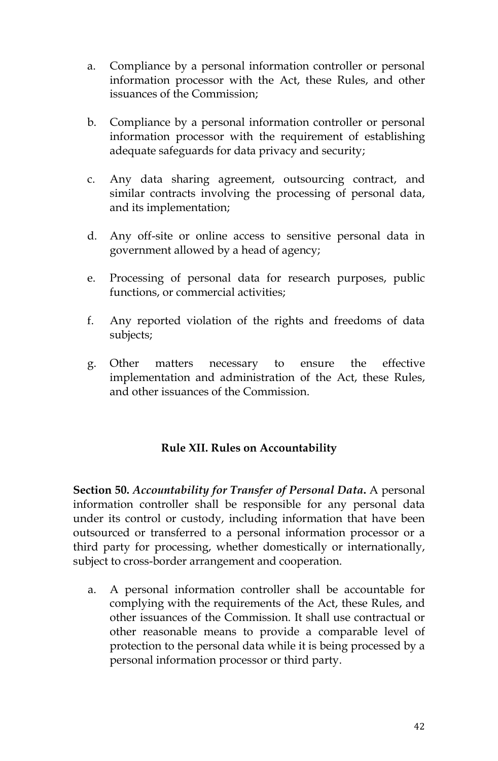- a. Compliance by a personal information controller or personal information processor with the Act, these Rules, and other issuances of the Commission;
- b. Compliance by a personal information controller or personal information processor with the requirement of establishing adequate safeguards for data privacy and security;
- c. Any data sharing agreement, outsourcing contract, and similar contracts involving the processing of personal data, and its implementation;
- d. Any off-site or online access to sensitive personal data in government allowed by a head of agency;
- e. Processing of personal data for research purposes, public functions, or commercial activities;
- f. Any reported violation of the rights and freedoms of data subjects;
- g. Other matters necessary to ensure the effective implementation and administration of the Act, these Rules, and other issuances of the Commission.

### **Rule XII. Rules on Accountability**

**Section 50.** *Accountability for Transfer of Personal Data***.** A personal information controller shall be responsible for any personal data under its control or custody, including information that have been outsourced or transferred to a personal information processor or a third party for processing, whether domestically or internationally, subject to cross-border arrangement and cooperation.

a. A personal information controller shall be accountable for complying with the requirements of the Act, these Rules, and other issuances of the Commission. It shall use contractual or other reasonable means to provide a comparable level of protection to the personal data while it is being processed by a personal information processor or third party.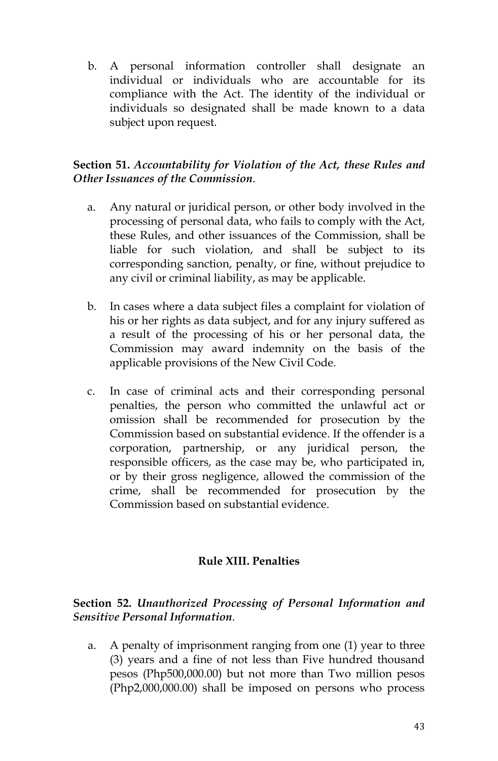b. A personal information controller shall designate an individual or individuals who are accountable for its compliance with the Act. The identity of the individual or individuals so designated shall be made known to a data subject upon request.

### **Section 51.** *Accountability for Violation of the Act, these Rules and Other Issuances of the Commission*.

- a. Any natural or juridical person, or other body involved in the processing of personal data, who fails to comply with the Act, these Rules, and other issuances of the Commission, shall be liable for such violation, and shall be subject to its corresponding sanction, penalty, or fine, without prejudice to any civil or criminal liability, as may be applicable.
- b. In cases where a data subject files a complaint for violation of his or her rights as data subject, and for any injury suffered as a result of the processing of his or her personal data, the Commission may award indemnity on the basis of the applicable provisions of the New Civil Code.
- c. In case of criminal acts and their corresponding personal penalties, the person who committed the unlawful act or omission shall be recommended for prosecution by the Commission based on substantial evidence. If the offender is a corporation, partnership, or any juridical person, the responsible officers, as the case may be, who participated in, or by their gross negligence, allowed the commission of the crime, shall be recommended for prosecution by the Commission based on substantial evidence.

### **Rule XIII. Penalties**

### **Section 52.** *Unauthorized Processing of Personal Information and Sensitive Personal Information*.

a. A penalty of imprisonment ranging from one (1) year to three (3) years and a fine of not less than Five hundred thousand pesos (Php500,000.00) but not more than Two million pesos (Php2,000,000.00) shall be imposed on persons who process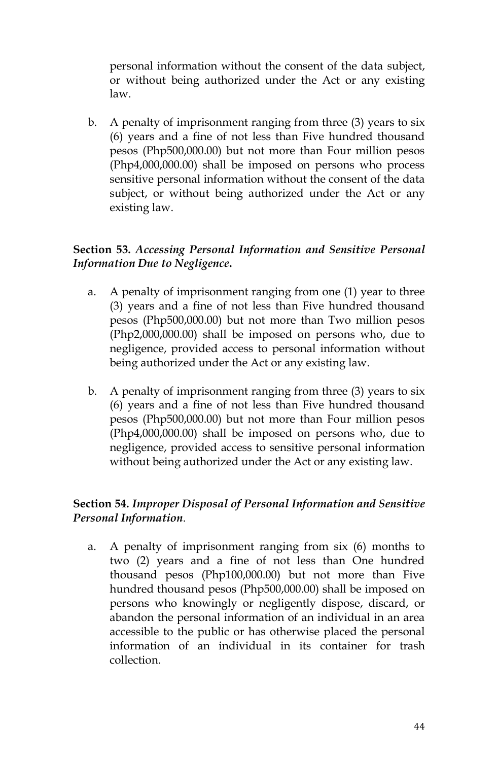personal information without the consent of the data subject, or without being authorized under the Act or any existing law.

b. A penalty of imprisonment ranging from three (3) years to six (6) years and a fine of not less than Five hundred thousand pesos (Php500,000.00) but not more than Four million pesos (Php4,000,000.00) shall be imposed on persons who process sensitive personal information without the consent of the data subject, or without being authorized under the Act or any existing law.

# **Section 53.** *Accessing Personal Information and Sensitive Personal Information Due to Negligence***.**

- a. A penalty of imprisonment ranging from one (1) year to three (3) years and a fine of not less than Five hundred thousand pesos (Php500,000.00) but not more than Two million pesos (Php2,000,000.00) shall be imposed on persons who, due to negligence, provided access to personal information without being authorized under the Act or any existing law.
- b. A penalty of imprisonment ranging from three (3) years to six (6) years and a fine of not less than Five hundred thousand pesos (Php500,000.00) but not more than Four million pesos (Php4,000,000.00) shall be imposed on persons who, due to negligence, provided access to sensitive personal information without being authorized under the Act or any existing law.

### **Section 54.** *Improper Disposal of Personal Information and Sensitive Personal Information*.

a. A penalty of imprisonment ranging from six (6) months to two (2) years and a fine of not less than One hundred thousand pesos (Php100,000.00) but not more than Five hundred thousand pesos (Php500,000.00) shall be imposed on persons who knowingly or negligently dispose, discard, or abandon the personal information of an individual in an area accessible to the public or has otherwise placed the personal information of an individual in its container for trash collection.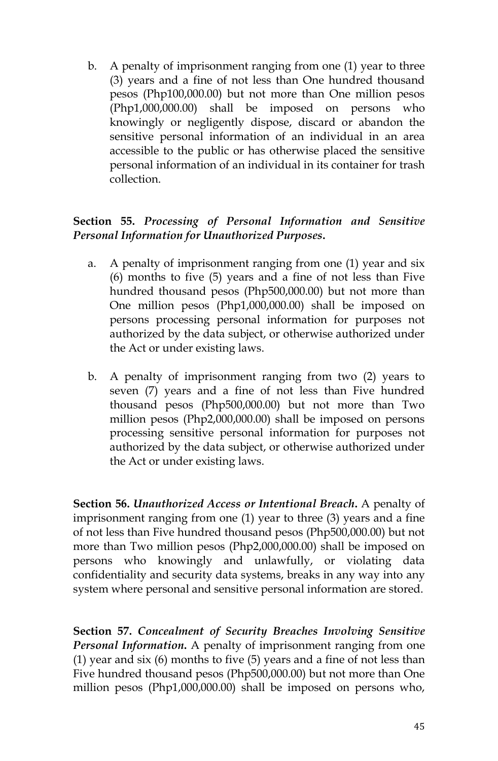b. A penalty of imprisonment ranging from one (1) year to three (3) years and a fine of not less than One hundred thousand pesos (Php100,000.00) but not more than One million pesos (Php1,000,000.00) shall be imposed on persons who knowingly or negligently dispose, discard or abandon the sensitive personal information of an individual in an area accessible to the public or has otherwise placed the sensitive personal information of an individual in its container for trash collection.

# **Section 55.** *Processing of Personal Information and Sensitive Personal Information for Unauthorized Purposes***.**

- a. A penalty of imprisonment ranging from one (1) year and six (6) months to five (5) years and a fine of not less than Five hundred thousand pesos (Php500,000.00) but not more than One million pesos (Php1,000,000.00) shall be imposed on persons processing personal information for purposes not authorized by the data subject, or otherwise authorized under the Act or under existing laws.
- b. A penalty of imprisonment ranging from two (2) years to seven (7) years and a fine of not less than Five hundred thousand pesos (Php500,000.00) but not more than Two million pesos (Php2,000,000.00) shall be imposed on persons processing sensitive personal information for purposes not authorized by the data subject, or otherwise authorized under the Act or under existing laws.

**Section 56.** *Unauthorized Access or Intentional Breach***.** A penalty of imprisonment ranging from one (1) year to three (3) years and a fine of not less than Five hundred thousand pesos (Php500,000.00) but not more than Two million pesos (Php2,000,000.00) shall be imposed on persons who knowingly and unlawfully, or violating data confidentiality and security data systems, breaks in any way into any system where personal and sensitive personal information are stored.

**Section 57.** *Concealment of Security Breaches Involving Sensitive Personal Information***.** A penalty of imprisonment ranging from one (1) year and six (6) months to five (5) years and a fine of not less than Five hundred thousand pesos (Php500,000.00) but not more than One million pesos (Php1,000,000.00) shall be imposed on persons who,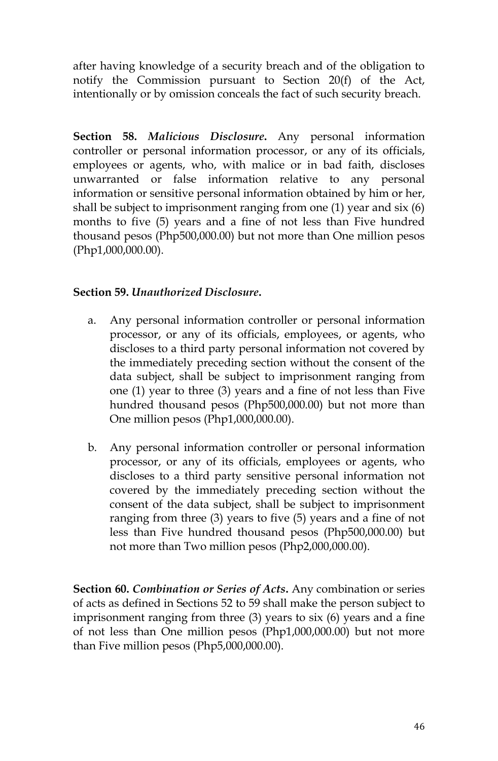after having knowledge of a security breach and of the obligation to notify the Commission pursuant to Section 20(f) of the Act, intentionally or by omission conceals the fact of such security breach.

**Section 58.** *Malicious Disclosure***.** Any personal information controller or personal information processor, or any of its officials, employees or agents, who, with malice or in bad faith, discloses unwarranted or false information relative to any personal information or sensitive personal information obtained by him or her, shall be subject to imprisonment ranging from one (1) year and six (6) months to five (5) years and a fine of not less than Five hundred thousand pesos (Php500,000.00) but not more than One million pesos (Php1,000,000.00).

### **Section 59.** *Unauthorized Disclosure***.**

- a. Any personal information controller or personal information processor, or any of its officials, employees, or agents, who discloses to a third party personal information not covered by the immediately preceding section without the consent of the data subject, shall be subject to imprisonment ranging from one (1) year to three (3) years and a fine of not less than Five hundred thousand pesos (Php500,000.00) but not more than One million pesos (Php1,000,000.00).
- b. Any personal information controller or personal information processor, or any of its officials, employees or agents, who discloses to a third party sensitive personal information not covered by the immediately preceding section without the consent of the data subject, shall be subject to imprisonment ranging from three (3) years to five (5) years and a fine of not less than Five hundred thousand pesos (Php500,000.00) but not more than Two million pesos (Php2,000,000.00).

**Section 60.** *Combination or Series of Acts***.** Any combination or series of acts as defined in Sections 52 to 59 shall make the person subject to imprisonment ranging from three (3) years to six (6) years and a fine of not less than One million pesos (Php1,000,000.00) but not more than Five million pesos (Php5,000,000.00).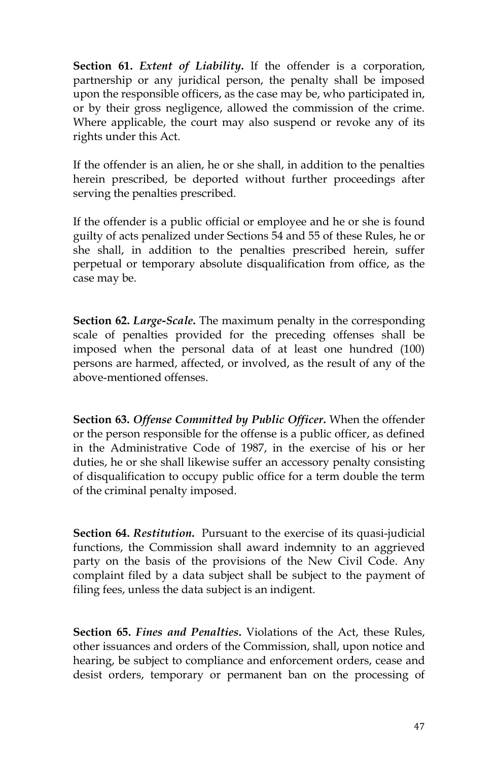**Section 61.** *Extent of Liability***.** If the offender is a corporation, partnership or any juridical person, the penalty shall be imposed upon the responsible officers, as the case may be, who participated in, or by their gross negligence, allowed the commission of the crime. Where applicable, the court may also suspend or revoke any of its rights under this Act.

If the offender is an alien, he or she shall, in addition to the penalties herein prescribed, be deported without further proceedings after serving the penalties prescribed.

If the offender is a public official or employee and he or she is found guilty of acts penalized under Sections 54 and 55 of these Rules, he or she shall, in addition to the penalties prescribed herein, suffer perpetual or temporary absolute disqualification from office, as the case may be.

**Section 62.** *Large-Scale***.** The maximum penalty in the corresponding scale of penalties provided for the preceding offenses shall be imposed when the personal data of at least one hundred (100) persons are harmed, affected, or involved, as the result of any of the above-mentioned offenses.

**Section 63.** *Offense Committed by Public Officer***.** When the offender or the person responsible for the offense is a public officer, as defined in the Administrative Code of 1987, in the exercise of his or her duties, he or she shall likewise suffer an accessory penalty consisting of disqualification to occupy public office for a term double the term of the criminal penalty imposed.

**Section 64.** *Restitution***.** Pursuant to the exercise of its quasi-judicial functions, the Commission shall award indemnity to an aggrieved party on the basis of the provisions of the New Civil Code. Any complaint filed by a data subject shall be subject to the payment of filing fees, unless the data subject is an indigent.

**Section 65.** *Fines and Penalties***.** Violations of the Act, these Rules, other issuances and orders of the Commission, shall, upon notice and hearing, be subject to compliance and enforcement orders, cease and desist orders, temporary or permanent ban on the processing of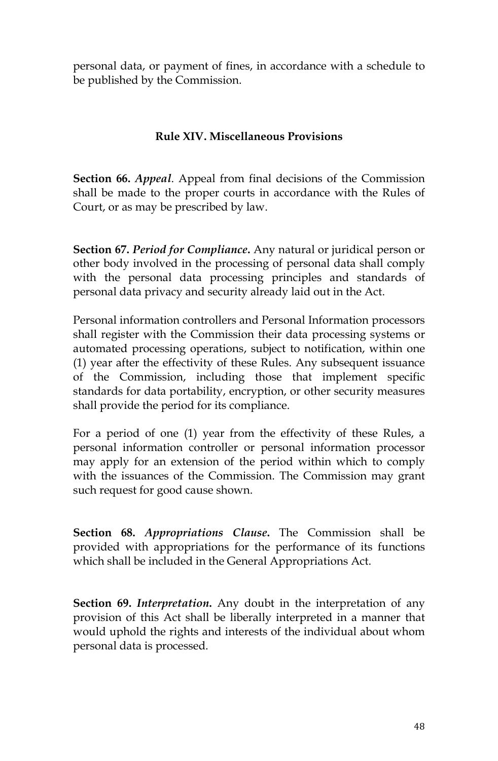personal data, or payment of fines, in accordance with a schedule to be published by the Commission.

### **Rule XIV. Miscellaneous Provisions**

**Section 66.** *Appeal*. Appeal from final decisions of the Commission shall be made to the proper courts in accordance with the Rules of Court, or as may be prescribed by law.

**Section 67.** *Period for Compliance***.** Any natural or juridical person or other body involved in the processing of personal data shall comply with the personal data processing principles and standards of personal data privacy and security already laid out in the Act.

Personal information controllers and Personal Information processors shall register with the Commission their data processing systems or automated processing operations, subject to notification, within one (1) year after the effectivity of these Rules. Any subsequent issuance of the Commission, including those that implement specific standards for data portability, encryption, or other security measures shall provide the period for its compliance.

For a period of one (1) year from the effectivity of these Rules, a personal information controller or personal information processor may apply for an extension of the period within which to comply with the issuances of the Commission. The Commission may grant such request for good cause shown.

**Section 68.** *Appropriations Clause***.** The Commission shall be provided with appropriations for the performance of its functions which shall be included in the General Appropriations Act.

**Section 69.** *Interpretation***.** Any doubt in the interpretation of any provision of this Act shall be liberally interpreted in a manner that would uphold the rights and interests of the individual about whom personal data is processed.